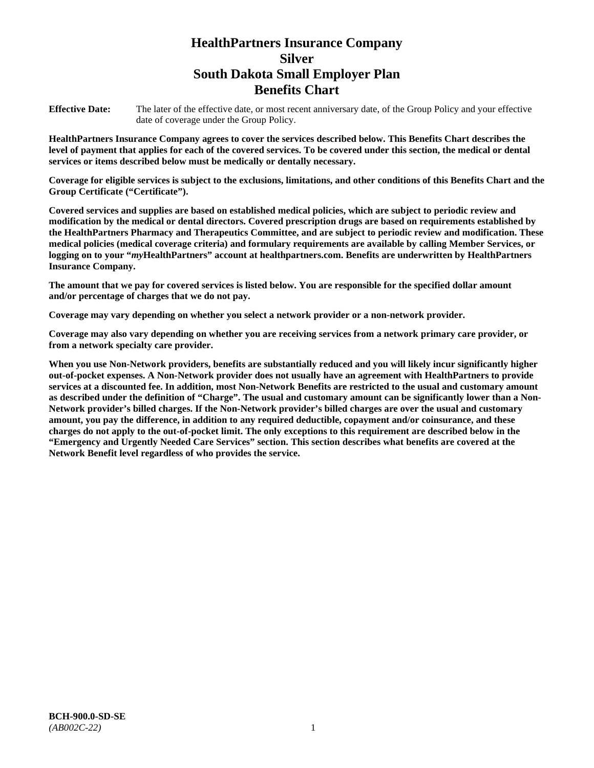# **HealthPartners Insurance Company Silver South Dakota Small Employer Plan Benefits Chart**

**Effective Date:** The later of the effective date, or most recent anniversary date, of the Group Policy and your effective date of coverage under the Group Policy.

**HealthPartners Insurance Company agrees to cover the services described below. This Benefits Chart describes the level of payment that applies for each of the covered services. To be covered under this section, the medical or dental services or items described below must be medically or dentally necessary.**

**Coverage for eligible services is subject to the exclusions, limitations, and other conditions of this Benefits Chart and the Group Certificate ("Certificate").**

**Covered services and supplies are based on established medical policies, which are subject to periodic review and modification by the medical or dental directors. Covered prescription drugs are based on requirements established by the HealthPartners Pharmacy and Therapeutics Committee, and are subject to periodic review and modification. These medical policies (medical coverage criteria) and formulary requirements are available by calling Member Services, or logging on to your "***my***HealthPartners" account at [healthpartners.com.](file://isntmacsrv0/www.healthpartners.com) Benefits are underwritten by HealthPartners Insurance Company.**

**The amount that we pay for covered services is listed below. You are responsible for the specified dollar amount and/or percentage of charges that we do not pay.**

**Coverage may vary depending on whether you select a network provider or a non-network provider.**

**Coverage may also vary depending on whether you are receiving services from a network primary care provider, or from a network specialty care provider.**

**When you use Non-Network providers, benefits are substantially reduced and you will likely incur significantly higher out-of-pocket expenses. A Non-Network provider does not usually have an agreement with HealthPartners to provide services at a discounted fee. In addition, most Non-Network Benefits are restricted to the usual and customary amount as described under the definition of "Charge". The usual and customary amount can be significantly lower than a Non-Network provider's billed charges. If the Non-Network provider's billed charges are over the usual and customary amount, you pay the difference, in addition to any required deductible, copayment and/or coinsurance, and these charges do not apply to the out-of-pocket limit. The only exceptions to this requirement are described below in the "Emergency and Urgently Needed Care Services" section. This section describes what benefits are covered at the Network Benefit level regardless of who provides the service.**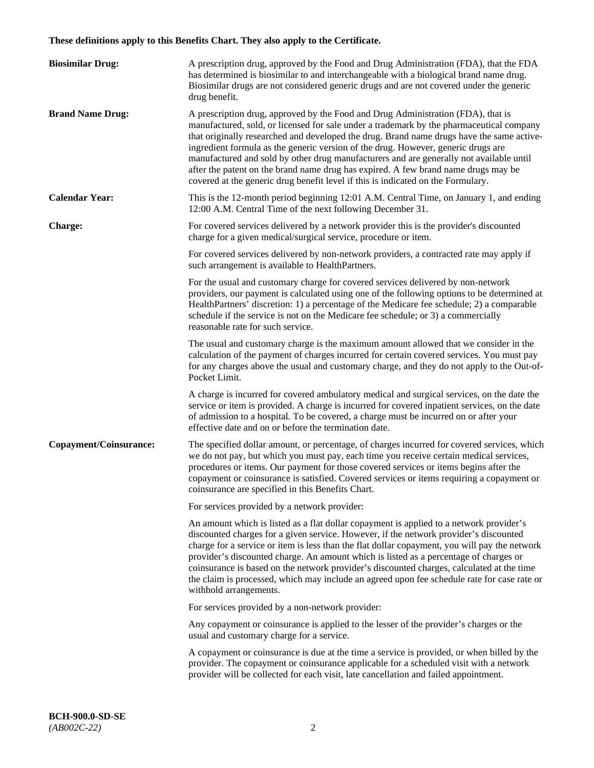# **These definitions apply to this Benefits Chart. They also apply to the Certificate.**

| <b>Biosimilar Drug:</b> | A prescription drug, approved by the Food and Drug Administration (FDA), that the FDA<br>has determined is biosimilar to and interchangeable with a biological brand name drug.<br>Biosimilar drugs are not considered generic drugs and are not covered under the generic<br>drug benefit.                                                                                                                                                                                                                                                                                                                                         |
|-------------------------|-------------------------------------------------------------------------------------------------------------------------------------------------------------------------------------------------------------------------------------------------------------------------------------------------------------------------------------------------------------------------------------------------------------------------------------------------------------------------------------------------------------------------------------------------------------------------------------------------------------------------------------|
| <b>Brand Name Drug:</b> | A prescription drug, approved by the Food and Drug Administration (FDA), that is<br>manufactured, sold, or licensed for sale under a trademark by the pharmaceutical company<br>that originally researched and developed the drug. Brand name drugs have the same active-<br>ingredient formula as the generic version of the drug. However, generic drugs are<br>manufactured and sold by other drug manufacturers and are generally not available until<br>after the patent on the brand name drug has expired. A few brand name drugs may be<br>covered at the generic drug benefit level if this is indicated on the Formulary. |
| <b>Calendar Year:</b>   | This is the 12-month period beginning 12:01 A.M. Central Time, on January 1, and ending<br>12:00 A.M. Central Time of the next following December 31.                                                                                                                                                                                                                                                                                                                                                                                                                                                                               |
| <b>Charge:</b>          | For covered services delivered by a network provider this is the provider's discounted<br>charge for a given medical/surgical service, procedure or item.                                                                                                                                                                                                                                                                                                                                                                                                                                                                           |
|                         | For covered services delivered by non-network providers, a contracted rate may apply if<br>such arrangement is available to HealthPartners.                                                                                                                                                                                                                                                                                                                                                                                                                                                                                         |
|                         | For the usual and customary charge for covered services delivered by non-network<br>providers, our payment is calculated using one of the following options to be determined at<br>HealthPartners' discretion: 1) a percentage of the Medicare fee schedule; 2) a comparable<br>schedule if the service is not on the Medicare fee schedule; or 3) a commercially<br>reasonable rate for such service.                                                                                                                                                                                                                              |
|                         | The usual and customary charge is the maximum amount allowed that we consider in the<br>calculation of the payment of charges incurred for certain covered services. You must pay<br>for any charges above the usual and customary charge, and they do not apply to the Out-of-<br>Pocket Limit.                                                                                                                                                                                                                                                                                                                                    |
|                         | A charge is incurred for covered ambulatory medical and surgical services, on the date the<br>service or item is provided. A charge is incurred for covered inpatient services, on the date<br>of admission to a hospital. To be covered, a charge must be incurred on or after your<br>effective date and on or before the termination date.                                                                                                                                                                                                                                                                                       |
| Copayment/Coinsurance:  | The specified dollar amount, or percentage, of charges incurred for covered services, which<br>we do not pay, but which you must pay, each time you receive certain medical services,<br>procedures or items. Our payment for those covered services or items begins after the<br>copayment or coinsurance is satisfied. Covered services or items requiring a copayment or<br>coinsurance are specified in this Benefits Chart.                                                                                                                                                                                                    |
|                         | For services provided by a network provider:                                                                                                                                                                                                                                                                                                                                                                                                                                                                                                                                                                                        |
|                         | An amount which is listed as a flat dollar copayment is applied to a network provider's<br>discounted charges for a given service. However, if the network provider's discounted<br>charge for a service or item is less than the flat dollar copayment, you will pay the network<br>provider's discounted charge. An amount which is listed as a percentage of charges or<br>coinsurance is based on the network provider's discounted charges, calculated at the time<br>the claim is processed, which may include an agreed upon fee schedule rate for case rate or<br>withhold arrangements.                                    |
|                         | For services provided by a non-network provider:                                                                                                                                                                                                                                                                                                                                                                                                                                                                                                                                                                                    |
|                         | Any copayment or coinsurance is applied to the lesser of the provider's charges or the<br>usual and customary charge for a service.                                                                                                                                                                                                                                                                                                                                                                                                                                                                                                 |
|                         | A copayment or coinsurance is due at the time a service is provided, or when billed by the<br>provider. The copayment or coinsurance applicable for a scheduled visit with a network<br>provider will be collected for each visit, late cancellation and failed appointment.                                                                                                                                                                                                                                                                                                                                                        |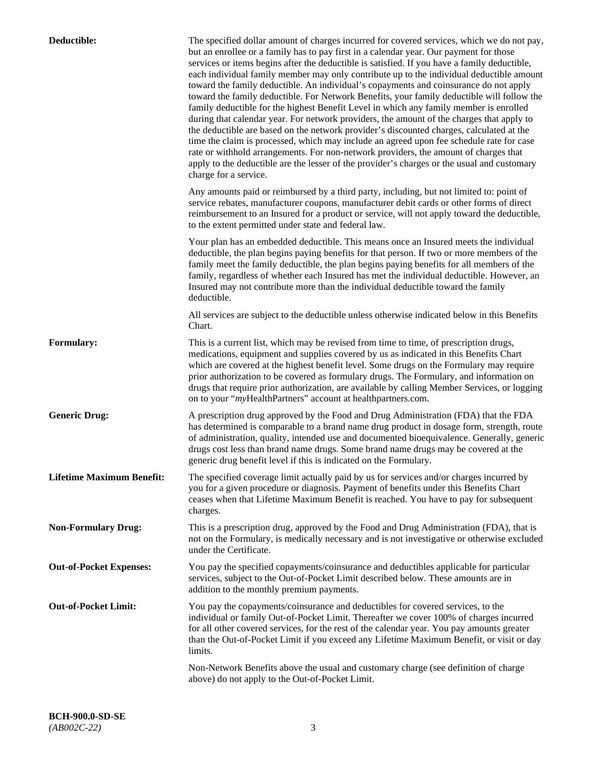| Deductible:                      | The specified dollar amount of charges incurred for covered services, which we do not pay,<br>but an enrollee or a family has to pay first in a calendar year. Our payment for those<br>services or items begins after the deductible is satisfied. If you have a family deductible,<br>each individual family member may only contribute up to the individual deductible amount<br>toward the family deductible. An individual's copayments and coinsurance do not apply<br>toward the family deductible. For Network Benefits, your family deductible will follow the<br>family deductible for the highest Benefit Level in which any family member is enrolled<br>during that calendar year. For network providers, the amount of the charges that apply to<br>the deductible are based on the network provider's discounted charges, calculated at the<br>time the claim is processed, which may include an agreed upon fee schedule rate for case<br>rate or withhold arrangements. For non-network providers, the amount of charges that<br>apply to the deductible are the lesser of the provider's charges or the usual and customary<br>charge for a service. |
|----------------------------------|------------------------------------------------------------------------------------------------------------------------------------------------------------------------------------------------------------------------------------------------------------------------------------------------------------------------------------------------------------------------------------------------------------------------------------------------------------------------------------------------------------------------------------------------------------------------------------------------------------------------------------------------------------------------------------------------------------------------------------------------------------------------------------------------------------------------------------------------------------------------------------------------------------------------------------------------------------------------------------------------------------------------------------------------------------------------------------------------------------------------------------------------------------------------|
|                                  | Any amounts paid or reimbursed by a third party, including, but not limited to: point of<br>service rebates, manufacturer coupons, manufacturer debit cards or other forms of direct<br>reimbursement to an Insured for a product or service, will not apply toward the deductible,<br>to the extent permitted under state and federal law.                                                                                                                                                                                                                                                                                                                                                                                                                                                                                                                                                                                                                                                                                                                                                                                                                            |
|                                  | Your plan has an embedded deductible. This means once an Insured meets the individual<br>deductible, the plan begins paying benefits for that person. If two or more members of the<br>family meet the family deductible, the plan begins paying benefits for all members of the<br>family, regardless of whether each Insured has met the individual deductible. However, an<br>Insured may not contribute more than the individual deductible toward the family<br>deductible.                                                                                                                                                                                                                                                                                                                                                                                                                                                                                                                                                                                                                                                                                       |
|                                  | All services are subject to the deductible unless otherwise indicated below in this Benefits<br>Chart.                                                                                                                                                                                                                                                                                                                                                                                                                                                                                                                                                                                                                                                                                                                                                                                                                                                                                                                                                                                                                                                                 |
| <b>Formulary:</b>                | This is a current list, which may be revised from time to time, of prescription drugs,<br>medications, equipment and supplies covered by us as indicated in this Benefits Chart<br>which are covered at the highest benefit level. Some drugs on the Formulary may require<br>prior authorization to be covered as formulary drugs. The Formulary, and information on<br>drugs that require prior authorization, are available by calling Member Services, or logging<br>on to your "myHealthPartners" account at healthpartners.com.                                                                                                                                                                                                                                                                                                                                                                                                                                                                                                                                                                                                                                  |
| <b>Generic Drug:</b>             | A prescription drug approved by the Food and Drug Administration (FDA) that the FDA<br>has determined is comparable to a brand name drug product in dosage form, strength, route<br>of administration, quality, intended use and documented bioequivalence. Generally, generic<br>drugs cost less than brand name drugs. Some brand name drugs may be covered at the<br>generic drug benefit level if this is indicated on the Formulary.                                                                                                                                                                                                                                                                                                                                                                                                                                                                                                                                                                                                                                                                                                                              |
| <b>Lifetime Maximum Benefit:</b> | The specified coverage limit actually paid by us for services and/or charges incurred by<br>you for a given procedure or diagnosis. Payment of benefits under this Benefits Chart<br>ceases when that Lifetime Maximum Benefit is reached. You have to pay for subsequent<br>charges.                                                                                                                                                                                                                                                                                                                                                                                                                                                                                                                                                                                                                                                                                                                                                                                                                                                                                  |
| <b>Non-Formulary Drug:</b>       | This is a prescription drug, approved by the Food and Drug Administration (FDA), that is<br>not on the Formulary, is medically necessary and is not investigative or otherwise excluded<br>under the Certificate.                                                                                                                                                                                                                                                                                                                                                                                                                                                                                                                                                                                                                                                                                                                                                                                                                                                                                                                                                      |
| <b>Out-of-Pocket Expenses:</b>   | You pay the specified copayments/coinsurance and deductibles applicable for particular<br>services, subject to the Out-of-Pocket Limit described below. These amounts are in<br>addition to the monthly premium payments.                                                                                                                                                                                                                                                                                                                                                                                                                                                                                                                                                                                                                                                                                                                                                                                                                                                                                                                                              |
| <b>Out-of-Pocket Limit:</b>      | You pay the copayments/coinsurance and deductibles for covered services, to the<br>individual or family Out-of-Pocket Limit. Thereafter we cover 100% of charges incurred<br>for all other covered services, for the rest of the calendar year. You pay amounts greater<br>than the Out-of-Pocket Limit if you exceed any Lifetime Maximum Benefit, or visit or day<br>limits.                                                                                                                                                                                                                                                                                                                                                                                                                                                                                                                                                                                                                                                                                                                                                                                         |
|                                  | Non-Network Benefits above the usual and customary charge (see definition of charge<br>above) do not apply to the Out-of-Pocket Limit.                                                                                                                                                                                                                                                                                                                                                                                                                                                                                                                                                                                                                                                                                                                                                                                                                                                                                                                                                                                                                                 |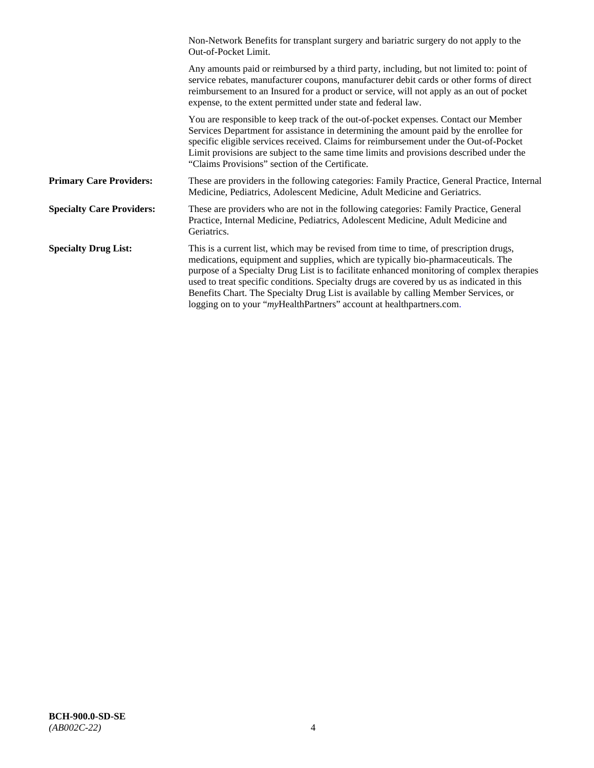|                                  | Non-Network Benefits for transplant surgery and bariatric surgery do not apply to the<br>Out-of-Pocket Limit.                                                                                                                                                                                                                                                                                                                                                                                                                         |
|----------------------------------|---------------------------------------------------------------------------------------------------------------------------------------------------------------------------------------------------------------------------------------------------------------------------------------------------------------------------------------------------------------------------------------------------------------------------------------------------------------------------------------------------------------------------------------|
|                                  | Any amounts paid or reimbursed by a third party, including, but not limited to: point of<br>service rebates, manufacturer coupons, manufacturer debit cards or other forms of direct<br>reimbursement to an Insured for a product or service, will not apply as an out of pocket<br>expense, to the extent permitted under state and federal law.                                                                                                                                                                                     |
|                                  | You are responsible to keep track of the out-of-pocket expenses. Contact our Member<br>Services Department for assistance in determining the amount paid by the enrollee for<br>specific eligible services received. Claims for reimbursement under the Out-of-Pocket<br>Limit provisions are subject to the same time limits and provisions described under the<br>"Claims Provisions" section of the Certificate.                                                                                                                   |
| <b>Primary Care Providers:</b>   | These are providers in the following categories: Family Practice, General Practice, Internal<br>Medicine, Pediatrics, Adolescent Medicine, Adult Medicine and Geriatrics.                                                                                                                                                                                                                                                                                                                                                             |
| <b>Specialty Care Providers:</b> | These are providers who are not in the following categories: Family Practice, General<br>Practice, Internal Medicine, Pediatrics, Adolescent Medicine, Adult Medicine and<br>Geriatrics.                                                                                                                                                                                                                                                                                                                                              |
| <b>Specialty Drug List:</b>      | This is a current list, which may be revised from time to time, of prescription drugs,<br>medications, equipment and supplies, which are typically bio-pharmaceuticals. The<br>purpose of a Specialty Drug List is to facilitate enhanced monitoring of complex therapies<br>used to treat specific conditions. Specialty drugs are covered by us as indicated in this<br>Benefits Chart. The Specialty Drug List is available by calling Member Services, or<br>logging on to your "myHealthPartners" account at healthpartners.com. |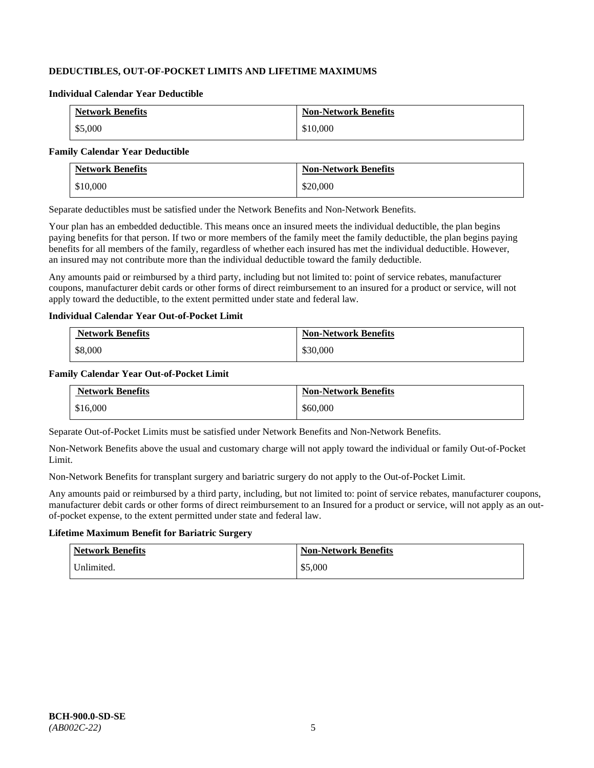# **DEDUCTIBLES, OUT-OF-POCKET LIMITS AND LIFETIME MAXIMUMS**

#### **Individual Calendar Year Deductible**

| <b>Network Benefits</b> | <b>Non-Network Benefits</b> |
|-------------------------|-----------------------------|
| \$5,000                 | \$10,000                    |

#### **Family Calendar Year Deductible**

| <b>Network Benefits</b> | <b>Non-Network Benefits</b> |
|-------------------------|-----------------------------|
| \$10,000                | \$20,000                    |

Separate deductibles must be satisfied under the Network Benefits and Non-Network Benefits.

Your plan has an embedded deductible. This means once an insured meets the individual deductible, the plan begins paying benefits for that person. If two or more members of the family meet the family deductible, the plan begins paying benefits for all members of the family, regardless of whether each insured has met the individual deductible. However, an insured may not contribute more than the individual deductible toward the family deductible.

Any amounts paid or reimbursed by a third party, including but not limited to: point of service rebates, manufacturer coupons, manufacturer debit cards or other forms of direct reimbursement to an insured for a product or service, will not apply toward the deductible, to the extent permitted under state and federal law.

#### **Individual Calendar Year Out-of-Pocket Limit**

| <b>Network Benefits</b> | <b>Non-Network Benefits</b> |
|-------------------------|-----------------------------|
| \$8,000                 | \$30,000                    |

#### **Family Calendar Year Out-of-Pocket Limit**

| <b>Network Benefits</b> | <b>Non-Network Benefits</b> |
|-------------------------|-----------------------------|
| \$16,000                | \$60,000                    |

Separate Out-of-Pocket Limits must be satisfied under Network Benefits and Non-Network Benefits.

Non-Network Benefits above the usual and customary charge will not apply toward the individual or family Out-of-Pocket Limit.

Non-Network Benefits for transplant surgery and bariatric surgery do not apply to the Out-of-Pocket Limit.

Any amounts paid or reimbursed by a third party, including, but not limited to: point of service rebates, manufacturer coupons, manufacturer debit cards or other forms of direct reimbursement to an Insured for a product or service, will not apply as an outof-pocket expense, to the extent permitted under state and federal law.

# **Lifetime Maximum Benefit for Bariatric Surgery**

| <b>Network Benefits</b> | <b>Non-Network Benefits</b> |
|-------------------------|-----------------------------|
| Unlimited.              | \$5,000                     |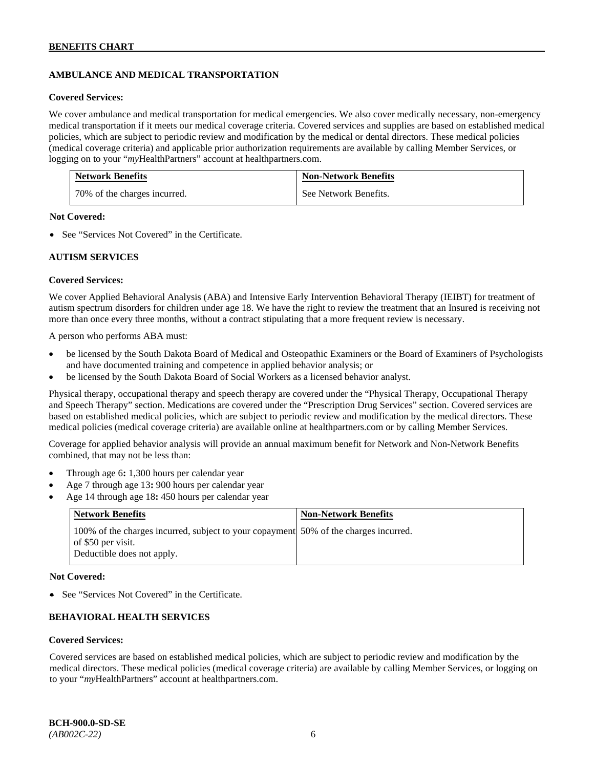# **AMBULANCE AND MEDICAL TRANSPORTATION**

#### **Covered Services:**

We cover ambulance and medical transportation for medical emergencies. We also cover medically necessary, non-emergency medical transportation if it meets our medical coverage criteria. Covered services and supplies are based on established medical policies, which are subject to periodic review and modification by the medical or dental directors. These medical policies (medical coverage criteria) and applicable prior authorization requirements are available by calling Member Services, or logging on to your "*my*HealthPartners" account at [healthpartners.com.](http://healthpartners.com/)

| <b>Network Benefits</b>      | <b>Non-Network Benefits</b> |
|------------------------------|-----------------------------|
| 70% of the charges incurred. | See Network Benefits.       |

#### **Not Covered:**

• See "Services Not Covered" in the Certificate.

#### **AUTISM SERVICES**

#### **Covered Services:**

We cover Applied Behavioral Analysis (ABA) and Intensive Early Intervention Behavioral Therapy (IEIBT) for treatment of autism spectrum disorders for children under age 18. We have the right to review the treatment that an Insured is receiving not more than once every three months, without a contract stipulating that a more frequent review is necessary.

A person who performs ABA must:

- be licensed by the South Dakota Board of Medical and Osteopathic Examiners or the Board of Examiners of Psychologists and have documented training and competence in applied behavior analysis; or
- be licensed by the South Dakota Board of Social Workers as a licensed behavior analyst.

Physical therapy, occupational therapy and speech therapy are covered under the "Physical Therapy, Occupational Therapy and Speech Therapy" section. Medications are covered under the "Prescription Drug Services" section. Covered services are based on established medical policies, which are subject to periodic review and modification by the medical directors. These medical policies (medical coverage criteria) are available online at [healthpartners.com](http://healthpartners.com/) or by calling Member Services.

Coverage for applied behavior analysis will provide an annual maximum benefit for Network and Non-Network Benefits combined, that may not be less than:

- Through age 6**:** 1,300 hours per calendar year
- Age 7 through age 13**:** 900 hours per calendar year
- Age 14 through age 18**:** 450 hours per calendar year

| <b>Network Benefits</b>                                                                                                                  | <b>Non-Network Benefits</b> |
|------------------------------------------------------------------------------------------------------------------------------------------|-----------------------------|
| 100% of the charges incurred, subject to your copayment 50% of the charges incurred.<br>of \$50 per visit.<br>Deductible does not apply. |                             |

### **Not Covered:**

• See "Services Not Covered" in the Certificate.

### **BEHAVIORAL HEALTH SERVICES**

#### **Covered Services:**

Covered services are based on established medical policies, which are subject to periodic review and modification by the medical directors. These medical policies (medical coverage criteria) are available by calling Member Services, or logging on to your "*my*HealthPartners" account at [healthpartners.com.](http://healthpartners.com/)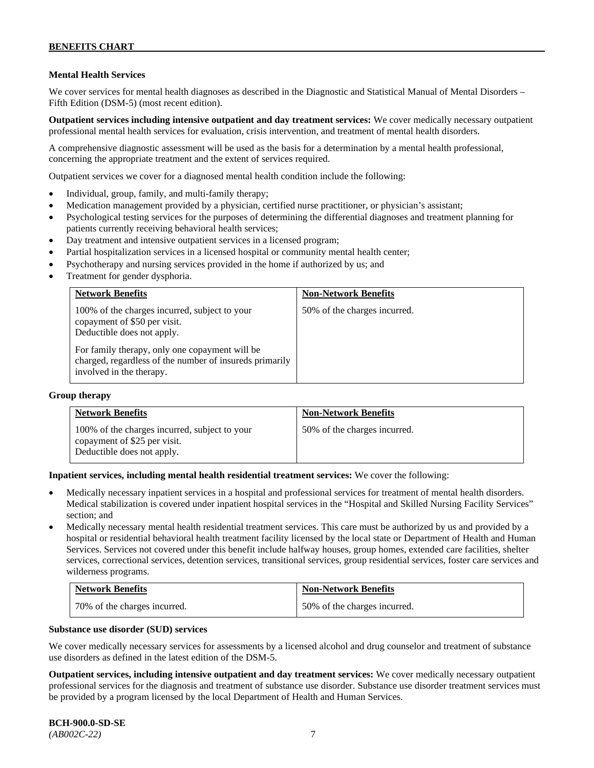### **Mental Health Services**

We cover services for mental health diagnoses as described in the Diagnostic and Statistical Manual of Mental Disorders – Fifth Edition (DSM-5) (most recent edition).

**Outpatient services including intensive outpatient and day treatment services:** We cover medically necessary outpatient professional mental health services for evaluation, crisis intervention, and treatment of mental health disorders.

A comprehensive diagnostic assessment will be used as the basis for a determination by a mental health professional, concerning the appropriate treatment and the extent of services required.

Outpatient services we cover for a diagnosed mental health condition include the following:

- Individual, group, family, and multi-family therapy;
- Medication management provided by a physician, certified nurse practitioner, or physician's assistant;
- Psychological testing services for the purposes of determining the differential diagnoses and treatment planning for patients currently receiving behavioral health services;
- Day treatment and intensive outpatient services in a licensed program;
- Partial hospitalization services in a licensed hospital or community mental health center;
- Psychotherapy and nursing services provided in the home if authorized by us; and
- Treatment for gender dysphoria.

| <b>Network Benefits</b>                                                                                                               | <b>Non-Network Benefits</b>  |
|---------------------------------------------------------------------------------------------------------------------------------------|------------------------------|
| 100% of the charges incurred, subject to your<br>copayment of \$50 per visit.<br>Deductible does not apply.                           | 50% of the charges incurred. |
| For family therapy, only one copayment will be<br>charged, regardless of the number of insureds primarily<br>involved in the therapy. |                              |

#### **Group therapy**

| <b>Network Benefits</b>                                                                                     | <b>Non-Network Benefits</b>  |
|-------------------------------------------------------------------------------------------------------------|------------------------------|
| 100% of the charges incurred, subject to your<br>copayment of \$25 per visit.<br>Deductible does not apply. | 50% of the charges incurred. |

**Inpatient services, including mental health residential treatment services:** We cover the following:

- Medically necessary inpatient services in a hospital and professional services for treatment of mental health disorders. Medical stabilization is covered under inpatient hospital services in the "Hospital and Skilled Nursing Facility Services" section; and
- Medically necessary mental health residential treatment services. This care must be authorized by us and provided by a hospital or residential behavioral health treatment facility licensed by the local state or Department of Health and Human Services. Services not covered under this benefit include halfway houses, group homes, extended care facilities, shelter services, correctional services, detention services, transitional services, group residential services, foster care services and wilderness programs.

| <b>Network Benefits</b>      | <b>Non-Network Benefits</b>  |
|------------------------------|------------------------------|
| 70% of the charges incurred. | 50% of the charges incurred. |

#### **Substance use disorder (SUD) services**

We cover medically necessary services for assessments by a licensed alcohol and drug counselor and treatment of substance use disorders as defined in the latest edition of the DSM-5.

**Outpatient services, including intensive outpatient and day treatment services:** We cover medically necessary outpatient professional services for the diagnosis and treatment of substance use disorder. Substance use disorder treatment services must be provided by a program licensed by the local Department of Health and Human Services.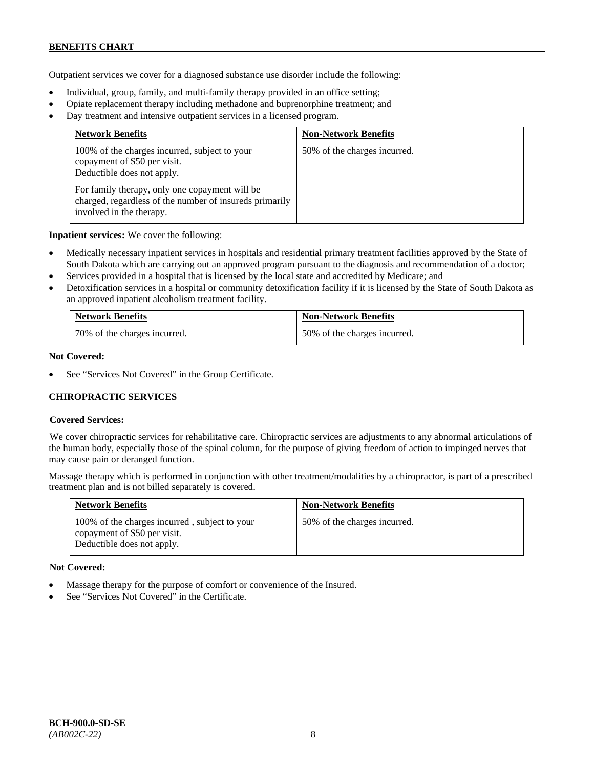Outpatient services we cover for a diagnosed substance use disorder include the following:

- Individual, group, family, and multi-family therapy provided in an office setting;
- Opiate replacement therapy including methadone and buprenorphine treatment; and
- Day treatment and intensive outpatient services in a licensed program.

| <b>Network Benefits</b>                                                                                                               | <b>Non-Network Benefits</b>  |
|---------------------------------------------------------------------------------------------------------------------------------------|------------------------------|
| 100% of the charges incurred, subject to your<br>copayment of \$50 per visit.<br>Deductible does not apply.                           | 50% of the charges incurred. |
| For family therapy, only one copayment will be<br>charged, regardless of the number of insureds primarily<br>involved in the therapy. |                              |

**Inpatient services:** We cover the following:

- Medically necessary inpatient services in hospitals and residential primary treatment facilities approved by the State of South Dakota which are carrying out an approved program pursuant to the diagnosis and recommendation of a doctor;
- Services provided in a hospital that is licensed by the local state and accredited by Medicare; and
- Detoxification services in a hospital or community detoxification facility if it is licensed by the State of South Dakota as an approved inpatient alcoholism treatment facility.

| <b>Network Benefits</b>      | <b>Non-Network Benefits</b>  |
|------------------------------|------------------------------|
| 70% of the charges incurred. | 50% of the charges incurred. |

### **Not Covered:**

See "Services Not Covered" in the Group Certificate.

### **CHIROPRACTIC SERVICES**

### **Covered Services:**

We cover chiropractic services for rehabilitative care. Chiropractic services are adjustments to any abnormal articulations of the human body, especially those of the spinal column, for the purpose of giving freedom of action to impinged nerves that may cause pain or deranged function.

Massage therapy which is performed in conjunction with other treatment/modalities by a chiropractor, is part of a prescribed treatment plan and is not billed separately is covered.

| <b>Network Benefits</b>                                                                                     | <b>Non-Network Benefits</b>  |
|-------------------------------------------------------------------------------------------------------------|------------------------------|
| 100% of the charges incurred, subject to your<br>copayment of \$50 per visit.<br>Deductible does not apply. | 50% of the charges incurred. |

#### **Not Covered:**

- Massage therapy for the purpose of comfort or convenience of the Insured.
- See "Services Not Covered" in the Certificate.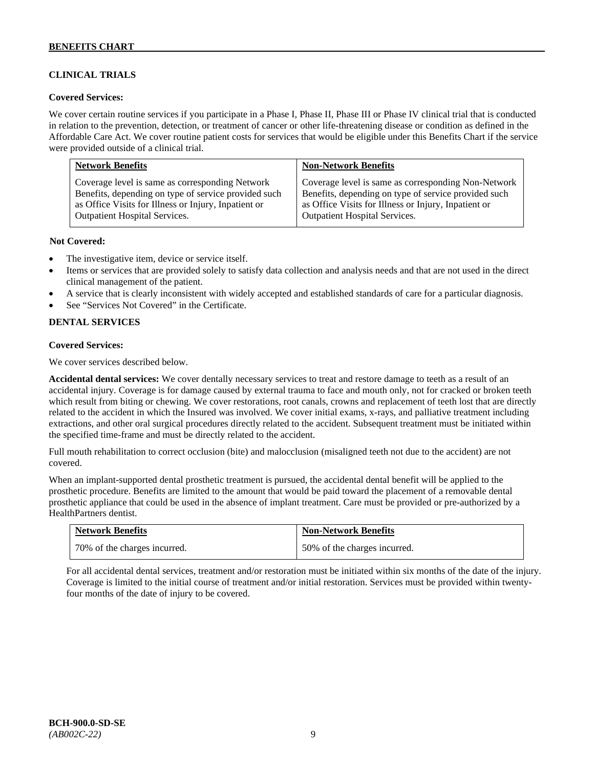# **CLINICAL TRIALS**

### **Covered Services:**

We cover certain routine services if you participate in a Phase I, Phase II, Phase III or Phase IV clinical trial that is conducted in relation to the prevention, detection, or treatment of cancer or other life-threatening disease or condition as defined in the Affordable Care Act. We cover routine patient costs for services that would be eligible under this Benefits Chart if the service were provided outside of a clinical trial.

| <b>Network Benefits</b>                              | <b>Non-Network Benefits</b>                          |
|------------------------------------------------------|------------------------------------------------------|
| Coverage level is same as corresponding Network      | Coverage level is same as corresponding Non-Network  |
| Benefits, depending on type of service provided such | Benefits, depending on type of service provided such |
| as Office Visits for Illness or Injury, Inpatient or | as Office Visits for Illness or Injury, Inpatient or |
| <b>Outpatient Hospital Services.</b>                 | Outpatient Hospital Services.                        |

#### **Not Covered:**

- The investigative item, device or service itself.
- Items or services that are provided solely to satisfy data collection and analysis needs and that are not used in the direct clinical management of the patient.
- A service that is clearly inconsistent with widely accepted and established standards of care for a particular diagnosis.
- See "Services Not Covered" in the Certificate.

### **DENTAL SERVICES**

#### **Covered Services:**

We cover services described below.

**Accidental dental services:** We cover dentally necessary services to treat and restore damage to teeth as a result of an accidental injury. Coverage is for damage caused by external trauma to face and mouth only, not for cracked or broken teeth which result from biting or chewing. We cover restorations, root canals, crowns and replacement of teeth lost that are directly related to the accident in which the Insured was involved. We cover initial exams, x-rays, and palliative treatment including extractions, and other oral surgical procedures directly related to the accident. Subsequent treatment must be initiated within the specified time-frame and must be directly related to the accident.

Full mouth rehabilitation to correct occlusion (bite) and malocclusion (misaligned teeth not due to the accident) are not covered.

When an implant-supported dental prosthetic treatment is pursued, the accidental dental benefit will be applied to the prosthetic procedure. Benefits are limited to the amount that would be paid toward the placement of a removable dental prosthetic appliance that could be used in the absence of implant treatment. Care must be provided or pre-authorized by a HealthPartners dentist.

| <b>Network Benefits</b>      | <b>Non-Network Benefits</b>  |
|------------------------------|------------------------------|
| 70% of the charges incurred. | 50% of the charges incurred. |

For all accidental dental services, treatment and/or restoration must be initiated within six months of the date of the injury. Coverage is limited to the initial course of treatment and/or initial restoration. Services must be provided within twentyfour months of the date of injury to be covered.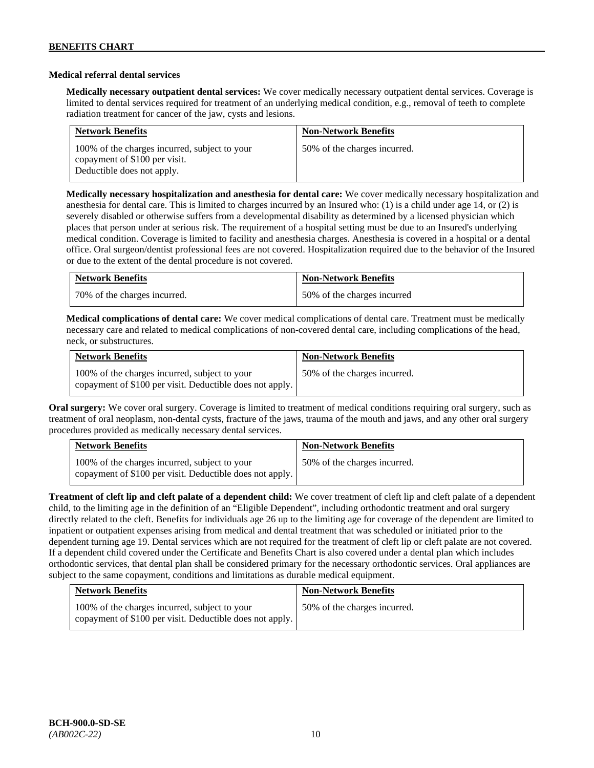### **Medical referral dental services**

**Medically necessary outpatient dental services:** We cover medically necessary outpatient dental services. Coverage is limited to dental services required for treatment of an underlying medical condition, e.g., removal of teeth to complete radiation treatment for cancer of the jaw, cysts and lesions.

| <b>Network Benefits</b>                                                                                      | <b>Non-Network Benefits</b>  |
|--------------------------------------------------------------------------------------------------------------|------------------------------|
| 100% of the charges incurred, subject to your<br>copayment of \$100 per visit.<br>Deductible does not apply. | 50% of the charges incurred. |

**Medically necessary hospitalization and anesthesia for dental care:** We cover medically necessary hospitalization and anesthesia for dental care. This is limited to charges incurred by an Insured who: (1) is a child under age 14, or (2) is severely disabled or otherwise suffers from a developmental disability as determined by a licensed physician which places that person under at serious risk. The requirement of a hospital setting must be due to an Insured's underlying medical condition. Coverage is limited to facility and anesthesia charges. Anesthesia is covered in a hospital or a dental office. Oral surgeon/dentist professional fees are not covered. Hospitalization required due to the behavior of the Insured or due to the extent of the dental procedure is not covered.

| <b>Network Benefits</b>      | <b>Non-Network Benefits</b> |
|------------------------------|-----------------------------|
| 70% of the charges incurred. | 50% of the charges incurred |

**Medical complications of dental care:** We cover medical complications of dental care. Treatment must be medically necessary care and related to medical complications of non-covered dental care, including complications of the head, neck, or substructures.

| <b>Network Benefits</b>                                                                                   | <b>Non-Network Benefits</b>  |
|-----------------------------------------------------------------------------------------------------------|------------------------------|
| 100% of the charges incurred, subject to your<br>copayment of \$100 per visit. Deductible does not apply. | 50% of the charges incurred. |

**Oral surgery:** We cover oral surgery. Coverage is limited to treatment of medical conditions requiring oral surgery, such as treatment of oral neoplasm, non-dental cysts, fracture of the jaws, trauma of the mouth and jaws, and any other oral surgery procedures provided as medically necessary dental services.

| <b>Network Benefits</b>                                                                                   | <b>Non-Network Benefits</b>  |
|-----------------------------------------------------------------------------------------------------------|------------------------------|
| 100% of the charges incurred, subject to your<br>copayment of \$100 per visit. Deductible does not apply. | 50% of the charges incurred. |

**Treatment of cleft lip and cleft palate of a dependent child:** We cover treatment of cleft lip and cleft palate of a dependent child, to the limiting age in the definition of an "Eligible Dependent", including orthodontic treatment and oral surgery directly related to the cleft. Benefits for individuals age 26 up to the limiting age for coverage of the dependent are limited to inpatient or outpatient expenses arising from medical and dental treatment that was scheduled or initiated prior to the dependent turning age 19. Dental services which are not required for the treatment of cleft lip or cleft palate are not covered. If a dependent child covered under the Certificate and Benefits Chart is also covered under a dental plan which includes orthodontic services, that dental plan shall be considered primary for the necessary orthodontic services. Oral appliances are subject to the same copayment, conditions and limitations as durable medical equipment.

| <b>Network Benefits</b>                                                                                   | <b>Non-Network Benefits</b>  |
|-----------------------------------------------------------------------------------------------------------|------------------------------|
| 100% of the charges incurred, subject to your<br>copayment of \$100 per visit. Deductible does not apply. | 50% of the charges incurred. |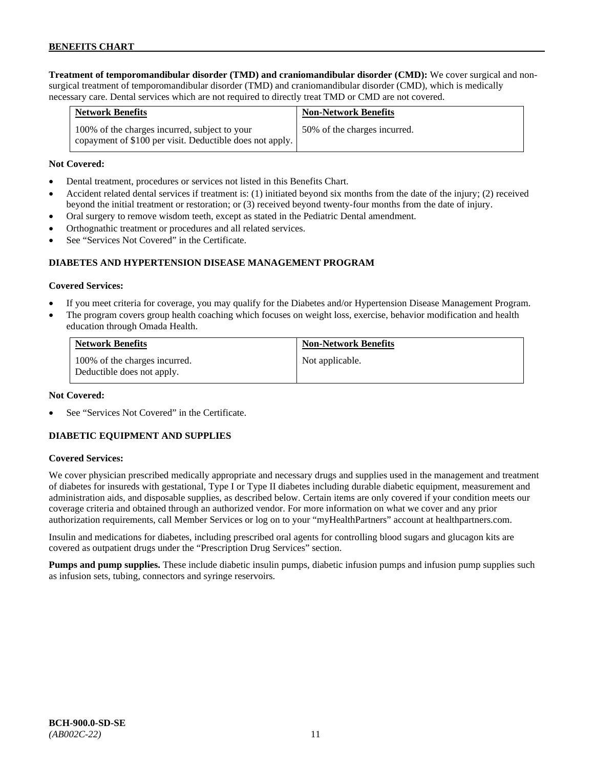**Treatment of temporomandibular disorder (TMD) and craniomandibular disorder (CMD):** We cover surgical and nonsurgical treatment of temporomandibular disorder (TMD) and craniomandibular disorder (CMD), which is medically necessary care. Dental services which are not required to directly treat TMD or CMD are not covered.

| <b>Network Benefits</b>                                                                                   | <b>Non-Network Benefits</b>  |
|-----------------------------------------------------------------------------------------------------------|------------------------------|
| 100% of the charges incurred, subject to your<br>copayment of \$100 per visit. Deductible does not apply. | 50% of the charges incurred. |

### **Not Covered:**

- Dental treatment, procedures or services not listed in this Benefits Chart.
- Accident related dental services if treatment is: (1) initiated beyond six months from the date of the injury; (2) received beyond the initial treatment or restoration; or (3) received beyond twenty-four months from the date of injury.
- Oral surgery to remove wisdom teeth, except as stated in the Pediatric Dental amendment.
- Orthognathic treatment or procedures and all related services.
- See "Services Not Covered" in the Certificate.

#### **DIABETES AND HYPERTENSION DISEASE MANAGEMENT PROGRAM**

#### **Covered Services:**

- If you meet criteria for coverage, you may qualify for the Diabetes and/or Hypertension Disease Management Program.
- The program covers group health coaching which focuses on weight loss, exercise, behavior modification and health education through Omada Health.

| <b>Network Benefits</b>                                     | <b>Non-Network Benefits</b> |
|-------------------------------------------------------------|-----------------------------|
| 100% of the charges incurred.<br>Deductible does not apply. | Not applicable.             |

#### **Not Covered:**

See "Services Not Covered" in the Certificate.

### **DIABETIC EQUIPMENT AND SUPPLIES**

#### **Covered Services:**

We cover physician prescribed medically appropriate and necessary drugs and supplies used in the management and treatment of diabetes for insureds with gestational, Type I or Type II diabetes including durable diabetic equipment, measurement and administration aids, and disposable supplies, as described below. Certain items are only covered if your condition meets our coverage criteria and obtained through an authorized vendor. For more information on what we cover and any prior authorization requirements, call Member Services or log on to your "myHealthPartners" account at [healthpartners.com.](http://www.healthpartners.com/)

Insulin and medications for diabetes, including prescribed oral agents for controlling blood sugars and glucagon kits are covered as outpatient drugs under the "Prescription Drug Services" section.

**Pumps and pump supplies.** These include diabetic insulin pumps, diabetic infusion pumps and infusion pump supplies such as infusion sets, tubing, connectors and syringe reservoirs.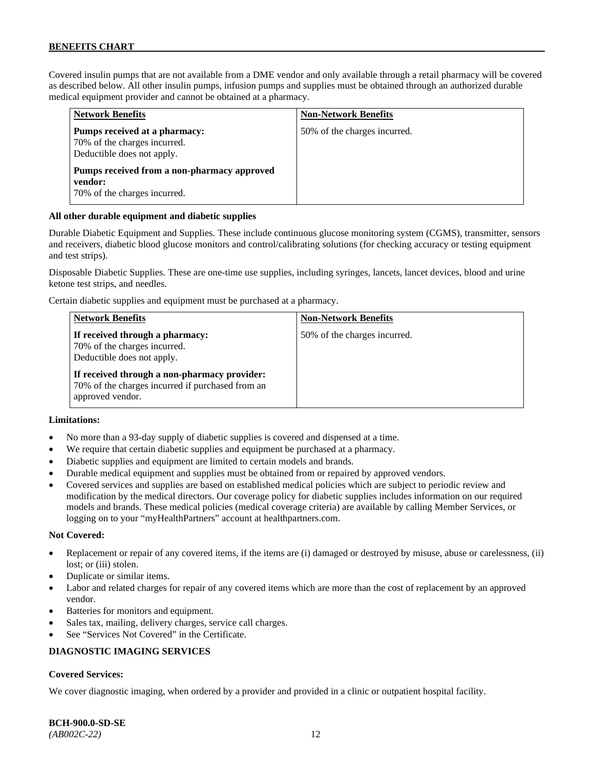Covered insulin pumps that are not available from a DME vendor and only available through a retail pharmacy will be covered as described below. All other insulin pumps, infusion pumps and supplies must be obtained through an authorized durable medical equipment provider and cannot be obtained at a pharmacy.

| <b>Network Benefits</b>                                                                     | <b>Non-Network Benefits</b>  |
|---------------------------------------------------------------------------------------------|------------------------------|
| Pumps received at a pharmacy:<br>70% of the charges incurred.<br>Deductible does not apply. | 50% of the charges incurred. |
| Pumps received from a non-pharmacy approved<br>vendor:<br>70% of the charges incurred.      |                              |

#### **All other durable equipment and diabetic supplies**

Durable Diabetic Equipment and Supplies. These include continuous glucose monitoring system (CGMS), transmitter, sensors and receivers, diabetic blood glucose monitors and control/calibrating solutions (for checking accuracy or testing equipment and test strips).

Disposable Diabetic Supplies. These are one-time use supplies, including syringes, lancets, lancet devices, blood and urine ketone test strips, and needles.

Certain diabetic supplies and equipment must be purchased at a pharmacy.

| <b>Network Benefits</b>                                                                                              | <b>Non-Network Benefits</b>  |
|----------------------------------------------------------------------------------------------------------------------|------------------------------|
| If received through a pharmacy:<br>70% of the charges incurred.<br>Deductible does not apply.                        | 50% of the charges incurred. |
| If received through a non-pharmacy provider:<br>70% of the charges incurred if purchased from an<br>approved vendor. |                              |

### **Limitations:**

- No more than a 93-day supply of diabetic supplies is covered and dispensed at a time.
- We require that certain diabetic supplies and equipment be purchased at a pharmacy.
- Diabetic supplies and equipment are limited to certain models and brands.
- Durable medical equipment and supplies must be obtained from or repaired by approved vendors.
- Covered services and supplies are based on established medical policies which are subject to periodic review and modification by the medical directors. Our coverage policy for diabetic supplies includes information on our required models and brands. These medical policies (medical coverage criteria) are available by calling Member Services, or logging on to your "myHealthPartners" account at [healthpartners.com.](http://www.healthpartners.com/)

#### **Not Covered:**

- Replacement or repair of any covered items, if the items are (i) damaged or destroyed by misuse, abuse or carelessness, (ii) lost; or (iii) stolen.
- Duplicate or similar items.
- Labor and related charges for repair of any covered items which are more than the cost of replacement by an approved vendor.
- Batteries for monitors and equipment.
- Sales tax, mailing, delivery charges, service call charges.
- See "Services Not Covered" in the Certificate.

### **DIAGNOSTIC IMAGING SERVICES**

### **Covered Services:**

We cover diagnostic imaging, when ordered by a provider and provided in a clinic or outpatient hospital facility.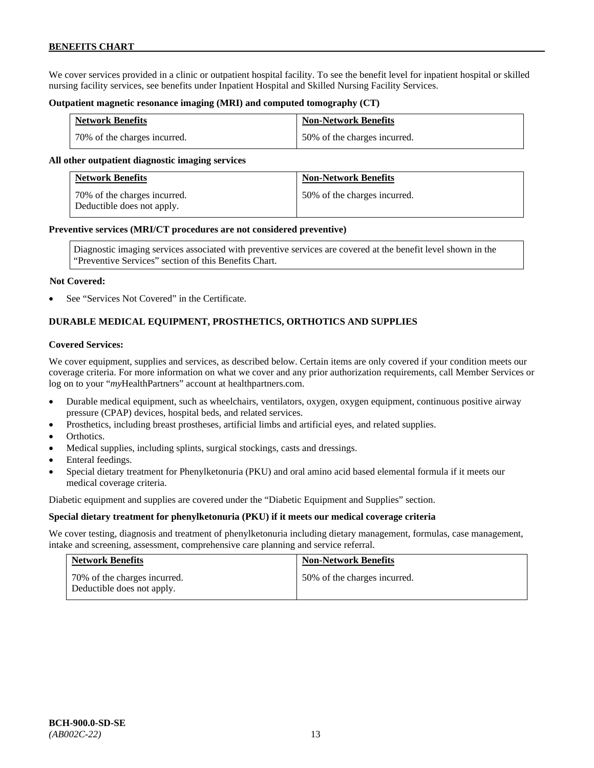We cover services provided in a clinic or outpatient hospital facility. To see the benefit level for inpatient hospital or skilled nursing facility services, see benefits under Inpatient Hospital and Skilled Nursing Facility Services.

#### **Outpatient magnetic resonance imaging (MRI) and computed tomography (CT)**

| <b>Network Benefits</b>       | <b>Non-Network Benefits</b>  |
|-------------------------------|------------------------------|
| 170% of the charges incurred. | 50% of the charges incurred. |

#### **All other outpatient diagnostic imaging services**

| <b>Network Benefits</b>                                    | <b>Non-Network Benefits</b>  |
|------------------------------------------------------------|------------------------------|
| 70% of the charges incurred.<br>Deductible does not apply. | 50% of the charges incurred. |

#### **Preventive services (MRI/CT procedures are not considered preventive)**

Diagnostic imaging services associated with preventive services are covered at the benefit level shown in the "Preventive Services" section of this Benefits Chart.

#### **Not Covered:**

See "Services Not Covered" in the Certificate.

# **DURABLE MEDICAL EQUIPMENT, PROSTHETICS, ORTHOTICS AND SUPPLIES**

#### **Covered Services:**

We cover equipment, supplies and services, as described below. Certain items are only covered if your condition meets our coverage criteria. For more information on what we cover and any prior authorization requirements, call Member Services or log on to your "myHealthPartners" account at [healthpartners.com.](http://healthpartners.com/)

- Durable medical equipment, such as wheelchairs, ventilators, oxygen, oxygen equipment, continuous positive airway pressure (CPAP) devices, hospital beds, and related services.
- Prosthetics, including breast prostheses, artificial limbs and artificial eyes, and related supplies.
- Orthotics.
- Medical supplies, including splints, surgical stockings, casts and dressings.
- Enteral feedings.
- Special dietary treatment for Phenylketonuria (PKU) and oral amino acid based elemental formula if it meets our medical coverage criteria.

Diabetic equipment and supplies are covered under the "Diabetic Equipment and Supplies" section.

### **Special dietary treatment for phenylketonuria (PKU) if it meets our medical coverage criteria**

We cover testing, diagnosis and treatment of phenylketonuria including dietary management, formulas, case management, intake and screening, assessment, comprehensive care planning and service referral.

| <b>Network Benefits</b>                                    | <b>Non-Network Benefits</b>  |
|------------------------------------------------------------|------------------------------|
| 70% of the charges incurred.<br>Deductible does not apply. | 50% of the charges incurred. |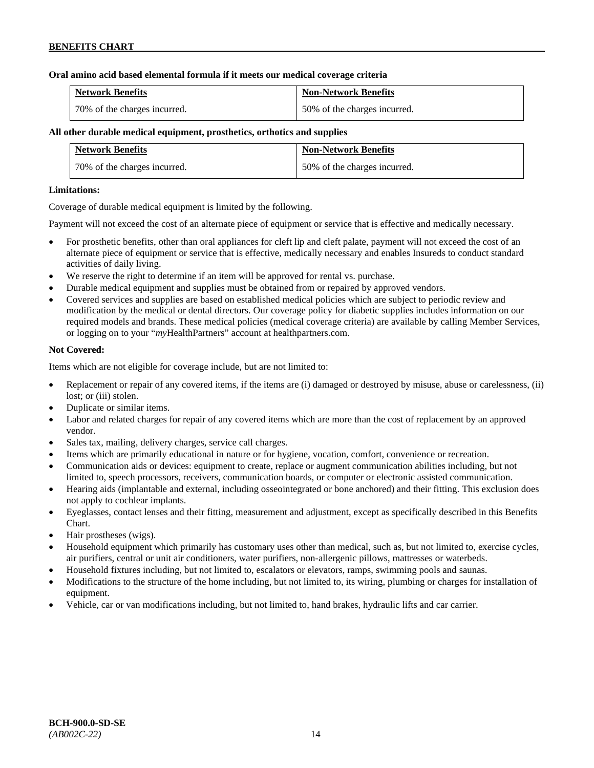### **Oral amino acid based elemental formula if it meets our medical coverage criteria**

| <b>Network Benefits</b>      | <b>Non-Network Benefits</b>  |
|------------------------------|------------------------------|
| 70% of the charges incurred. | 50% of the charges incurred. |

### **All other durable medical equipment, prosthetics, orthotics and supplies**

| <b>Network Benefits</b>      | <b>Non-Network Benefits</b>  |
|------------------------------|------------------------------|
| 70% of the charges incurred. | 50% of the charges incurred. |

### **Limitations:**

Coverage of durable medical equipment is limited by the following.

Payment will not exceed the cost of an alternate piece of equipment or service that is effective and medically necessary.

- For prosthetic benefits, other than oral appliances for cleft lip and cleft palate, payment will not exceed the cost of an alternate piece of equipment or service that is effective, medically necessary and enables Insureds to conduct standard activities of daily living.
- We reserve the right to determine if an item will be approved for rental vs. purchase.
- Durable medical equipment and supplies must be obtained from or repaired by approved vendors.
- Covered services and supplies are based on established medical policies which are subject to periodic review and modification by the medical or dental directors. Our coverage policy for diabetic supplies includes information on our required models and brands. These medical policies (medical coverage criteria) are available by calling Member Services, or logging on to your "*my*HealthPartners" account at [healthpartners.com.](http://www.healthpartners.com/)

# **Not Covered:**

Items which are not eligible for coverage include, but are not limited to:

- Replacement or repair of any covered items, if the items are (i) damaged or destroyed by misuse, abuse or carelessness, (ii) lost; or (iii) stolen.
- Duplicate or similar items.
- Labor and related charges for repair of any covered items which are more than the cost of replacement by an approved vendor.
- Sales tax, mailing, delivery charges, service call charges.
- Items which are primarily educational in nature or for hygiene, vocation, comfort, convenience or recreation.
- Communication aids or devices: equipment to create, replace or augment communication abilities including, but not limited to, speech processors, receivers, communication boards, or computer or electronic assisted communication.
- Hearing aids (implantable and external, including osseointegrated or bone anchored) and their fitting. This exclusion does not apply to cochlear implants.
- Eyeglasses, contact lenses and their fitting, measurement and adjustment, except as specifically described in this Benefits Chart.
- Hair prostheses (wigs).
- Household equipment which primarily has customary uses other than medical, such as, but not limited to, exercise cycles, air purifiers, central or unit air conditioners, water purifiers, non-allergenic pillows, mattresses or waterbeds.
- Household fixtures including, but not limited to, escalators or elevators, ramps, swimming pools and saunas.
- Modifications to the structure of the home including, but not limited to, its wiring, plumbing or charges for installation of equipment.
- Vehicle, car or van modifications including, but not limited to, hand brakes, hydraulic lifts and car carrier.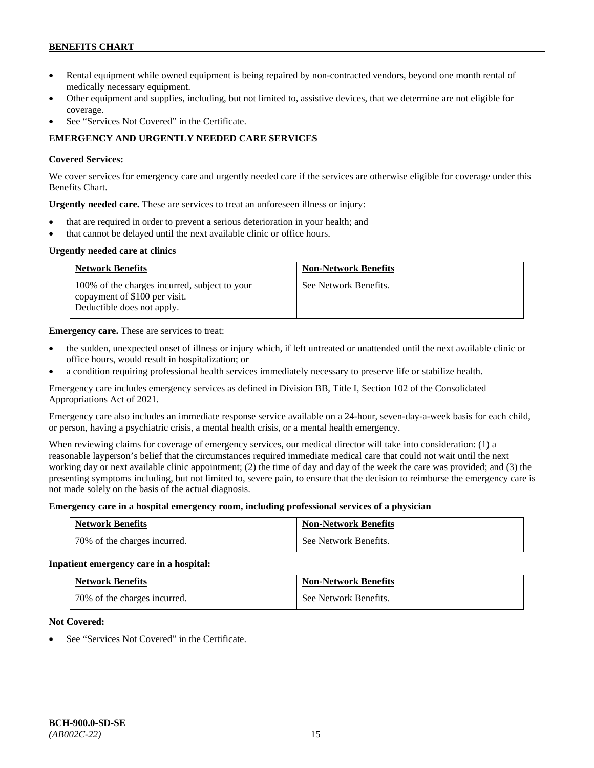- Rental equipment while owned equipment is being repaired by non-contracted vendors, beyond one month rental of medically necessary equipment.
- Other equipment and supplies, including, but not limited to, assistive devices, that we determine are not eligible for coverage.
- See "Services Not Covered" in the Certificate.

# **EMERGENCY AND URGENTLY NEEDED CARE SERVICES**

### **Covered Services:**

We cover services for emergency care and urgently needed care if the services are otherwise eligible for coverage under this Benefits Chart.

**Urgently needed care.** These are services to treat an unforeseen illness or injury:

- that are required in order to prevent a serious deterioration in your health; and
- that cannot be delayed until the next available clinic or office hours.

# **Urgently needed care at clinics**

| <b>Network Benefits</b>                                                                                      | <b>Non-Network Benefits</b> |
|--------------------------------------------------------------------------------------------------------------|-----------------------------|
| 100% of the charges incurred, subject to your<br>copayment of \$100 per visit.<br>Deductible does not apply. | See Network Benefits.       |

**Emergency care.** These are services to treat:

- the sudden, unexpected onset of illness or injury which, if left untreated or unattended until the next available clinic or office hours, would result in hospitalization; or
- a condition requiring professional health services immediately necessary to preserve life or stabilize health.

Emergency care includes emergency services as defined in Division BB, Title I, Section 102 of the Consolidated Appropriations Act of 2021.

Emergency care also includes an immediate response service available on a 24-hour, seven-day-a-week basis for each child, or person, having a psychiatric crisis, a mental health crisis, or a mental health emergency.

When reviewing claims for coverage of emergency services, our medical director will take into consideration: (1) a reasonable layperson's belief that the circumstances required immediate medical care that could not wait until the next working day or next available clinic appointment; (2) the time of day and day of the week the care was provided; and (3) the presenting symptoms including, but not limited to, severe pain, to ensure that the decision to reimburse the emergency care is not made solely on the basis of the actual diagnosis.

### **Emergency care in a hospital emergency room, including professional services of a physician**

| <b>Network Benefits</b>      | <b>Non-Network Benefits</b> |
|------------------------------|-----------------------------|
| 70% of the charges incurred. | See Network Benefits.       |

### **Inpatient emergency care in a hospital:**

| <b>Network Benefits</b>      | <b>Non-Network Benefits</b> |
|------------------------------|-----------------------------|
| 70% of the charges incurred. | See Network Benefits.       |

### **Not Covered:**

See "Services Not Covered" in the Certificate.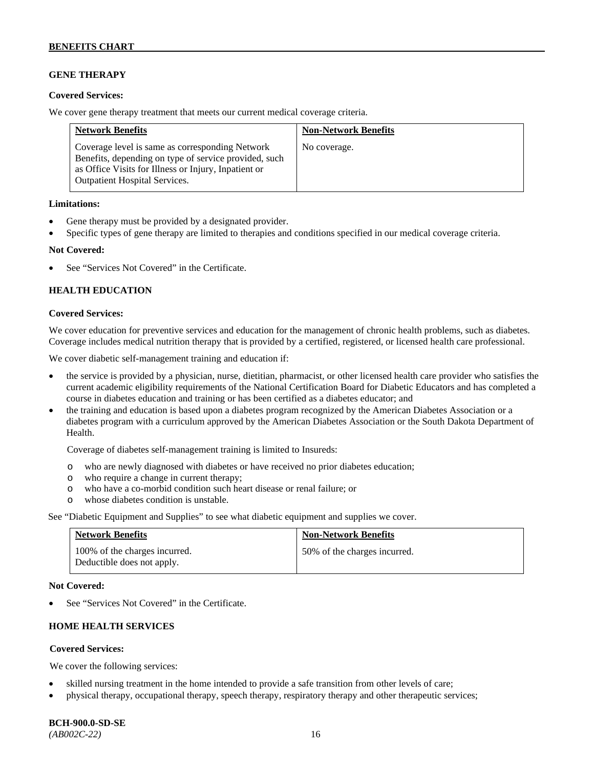### **GENE THERAPY**

#### **Covered Services:**

We cover gene therapy treatment that meets our current medical coverage criteria.

| <b>Network Benefits</b>                                                                                                                                                                                  | <b>Non-Network Benefits</b> |
|----------------------------------------------------------------------------------------------------------------------------------------------------------------------------------------------------------|-----------------------------|
| Coverage level is same as corresponding Network<br>Benefits, depending on type of service provided, such<br>as Office Visits for Illness or Injury, Inpatient or<br><b>Outpatient Hospital Services.</b> | No coverage.                |

#### **Limitations:**

- Gene therapy must be provided by a designated provider.
- Specific types of gene therapy are limited to therapies and conditions specified in our medical coverage criteria.

#### **Not Covered:**

See "Services Not Covered" in the Certificate.

### **HEALTH EDUCATION**

#### **Covered Services:**

We cover education for preventive services and education for the management of chronic health problems, such as diabetes. Coverage includes medical nutrition therapy that is provided by a certified, registered, or licensed health care professional.

We cover diabetic self-management training and education if:

- the service is provided by a physician, nurse, dietitian, pharmacist, or other licensed health care provider who satisfies the current academic eligibility requirements of the National Certification Board for Diabetic Educators and has completed a course in diabetes education and training or has been certified as a diabetes educator; and
- the training and education is based upon a diabetes program recognized by the American Diabetes Association or a diabetes program with a curriculum approved by the American Diabetes Association or the South Dakota Department of Health.

Coverage of diabetes self-management training is limited to Insureds:

- o who are newly diagnosed with diabetes or have received no prior diabetes education;
- o who require a change in current therapy;<br>o who have a co-morbid condition such heal
- who have a co-morbid condition such heart disease or renal failure; or
- o whose diabetes condition is unstable.

See "Diabetic Equipment and Supplies" to see what diabetic equipment and supplies we cover.

| <b>Network Benefits</b>                                     | <b>Non-Network Benefits</b>  |
|-------------------------------------------------------------|------------------------------|
| 100% of the charges incurred.<br>Deductible does not apply. | 50% of the charges incurred. |

#### **Not Covered:**

See "Services Not Covered" in the Certificate.

# **HOME HEALTH SERVICES**

### **Covered Services:**

We cover the following services:

- skilled nursing treatment in the home intended to provide a safe transition from other levels of care;
- physical therapy, occupational therapy, speech therapy, respiratory therapy and other therapeutic services;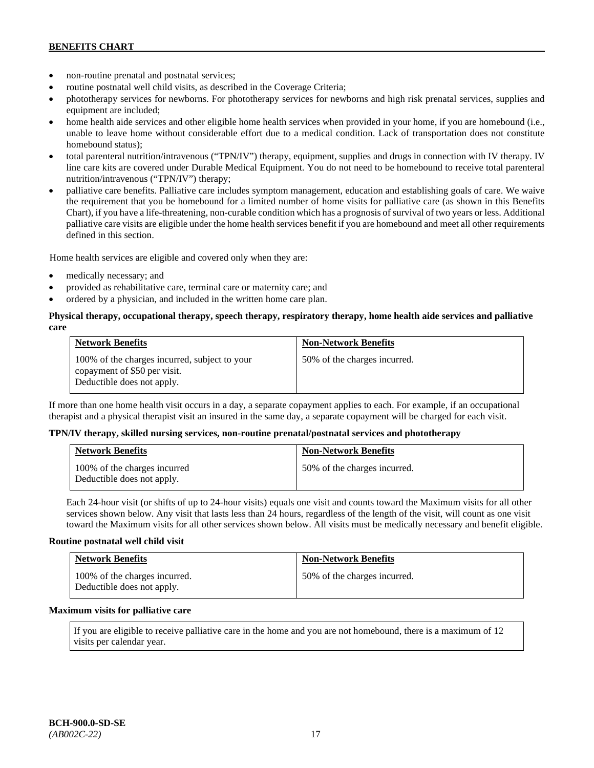- non-routine prenatal and postnatal services;
- routine postnatal well child visits, as described in the Coverage Criteria;
- phototherapy services for newborns. For phototherapy services for newborns and high risk prenatal services, supplies and equipment are included;
- home health aide services and other eligible home health services when provided in your home, if you are homebound (i.e., unable to leave home without considerable effort due to a medical condition. Lack of transportation does not constitute homebound status);
- total parenteral nutrition/intravenous ("TPN/IV") therapy, equipment, supplies and drugs in connection with IV therapy. IV line care kits are covered under Durable Medical Equipment. You do not need to be homebound to receive total parenteral nutrition/intravenous ("TPN/IV") therapy;
- palliative care benefits. Palliative care includes symptom management, education and establishing goals of care. We waive the requirement that you be homebound for a limited number of home visits for palliative care (as shown in this Benefits Chart), if you have a life-threatening, non-curable condition which has a prognosis of survival of two years or less. Additional palliative care visits are eligible under the home health services benefit if you are homebound and meet all other requirements defined in this section.

Home health services are eligible and covered only when they are:

- medically necessary; and
- provided as rehabilitative care, terminal care or maternity care; and
- ordered by a physician, and included in the written home care plan.

### **Physical therapy, occupational therapy, speech therapy, respiratory therapy, home health aide services and palliative care**

| <b>Network Benefits</b>                                                                                     | <b>Non-Network Benefits</b>  |
|-------------------------------------------------------------------------------------------------------------|------------------------------|
| 100% of the charges incurred, subject to your<br>copayment of \$50 per visit.<br>Deductible does not apply. | 50% of the charges incurred. |

If more than one home health visit occurs in a day, a separate copayment applies to each. For example, if an occupational therapist and a physical therapist visit an insured in the same day, a separate copayment will be charged for each visit.

### **TPN/IV therapy, skilled nursing services, non-routine prenatal/postnatal services and phototherapy**

| <b>Network Benefits</b>                                    | <b>Non-Network Benefits</b>  |
|------------------------------------------------------------|------------------------------|
| 100% of the charges incurred<br>Deductible does not apply. | 50% of the charges incurred. |

Each 24-hour visit (or shifts of up to 24-hour visits) equals one visit and counts toward the Maximum visits for all other services shown below. Any visit that lasts less than 24 hours, regardless of the length of the visit, will count as one visit toward the Maximum visits for all other services shown below. All visits must be medically necessary and benefit eligible.

### **Routine postnatal well child visit**

| <b>Network Benefits</b>                                     | <b>Non-Network Benefits</b>  |
|-------------------------------------------------------------|------------------------------|
| 100% of the charges incurred.<br>Deductible does not apply. | 50% of the charges incurred. |

#### **Maximum visits for palliative care**

If you are eligible to receive palliative care in the home and you are not homebound, there is a maximum of 12 visits per calendar year.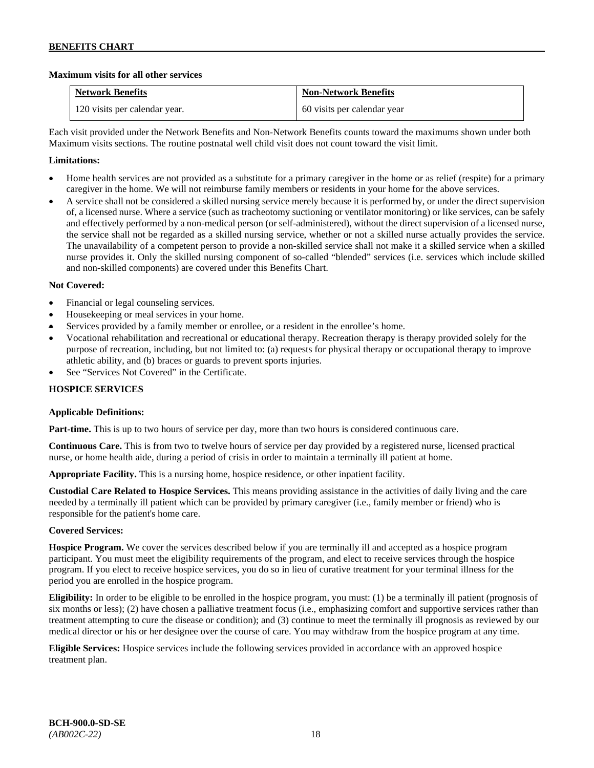### **Maximum visits for all other services**

| <b>Network Benefits</b>       | <b>Non-Network Benefits</b> |
|-------------------------------|-----------------------------|
| 120 visits per calendar year. | 60 visits per calendar year |

Each visit provided under the Network Benefits and Non-Network Benefits counts toward the maximums shown under both Maximum visits sections. The routine postnatal well child visit does not count toward the visit limit.

### **Limitations:**

- Home health services are not provided as a substitute for a primary caregiver in the home or as relief (respite) for a primary caregiver in the home. We will not reimburse family members or residents in your home for the above services.
- A service shall not be considered a skilled nursing service merely because it is performed by, or under the direct supervision of, a licensed nurse. Where a service (such as tracheotomy suctioning or ventilator monitoring) or like services, can be safely and effectively performed by a non-medical person (or self-administered), without the direct supervision of a licensed nurse, the service shall not be regarded as a skilled nursing service, whether or not a skilled nurse actually provides the service. The unavailability of a competent person to provide a non-skilled service shall not make it a skilled service when a skilled nurse provides it. Only the skilled nursing component of so-called "blended" services (i.e. services which include skilled and non-skilled components) are covered under this Benefits Chart.

### **Not Covered:**

- Financial or legal counseling services.
- Housekeeping or meal services in your home.
- Services provided by a family member or enrollee, or a resident in the enrollee's home.
- Vocational rehabilitation and recreational or educational therapy. Recreation therapy is therapy provided solely for the purpose of recreation, including, but not limited to: (a) requests for physical therapy or occupational therapy to improve athletic ability, and (b) braces or guards to prevent sports injuries.
- See "Services Not Covered" in the Certificate.

### **HOSPICE SERVICES**

### **Applicable Definitions:**

**Part-time.** This is up to two hours of service per day, more than two hours is considered continuous care.

**Continuous Care.** This is from two to twelve hours of service per day provided by a registered nurse, licensed practical nurse, or home health aide, during a period of crisis in order to maintain a terminally ill patient at home.

**Appropriate Facility.** This is a nursing home, hospice residence, or other inpatient facility.

**Custodial Care Related to Hospice Services.** This means providing assistance in the activities of daily living and the care needed by a terminally ill patient which can be provided by primary caregiver (i.e., family member or friend) who is responsible for the patient's home care.

### **Covered Services:**

**Hospice Program.** We cover the services described below if you are terminally ill and accepted as a hospice program participant. You must meet the eligibility requirements of the program, and elect to receive services through the hospice program. If you elect to receive hospice services, you do so in lieu of curative treatment for your terminal illness for the period you are enrolled in the hospice program.

**Eligibility:** In order to be eligible to be enrolled in the hospice program, you must: (1) be a terminally ill patient (prognosis of six months or less); (2) have chosen a palliative treatment focus (i.e., emphasizing comfort and supportive services rather than treatment attempting to cure the disease or condition); and (3) continue to meet the terminally ill prognosis as reviewed by our medical director or his or her designee over the course of care. You may withdraw from the hospice program at any time.

**Eligible Services:** Hospice services include the following services provided in accordance with an approved hospice treatment plan.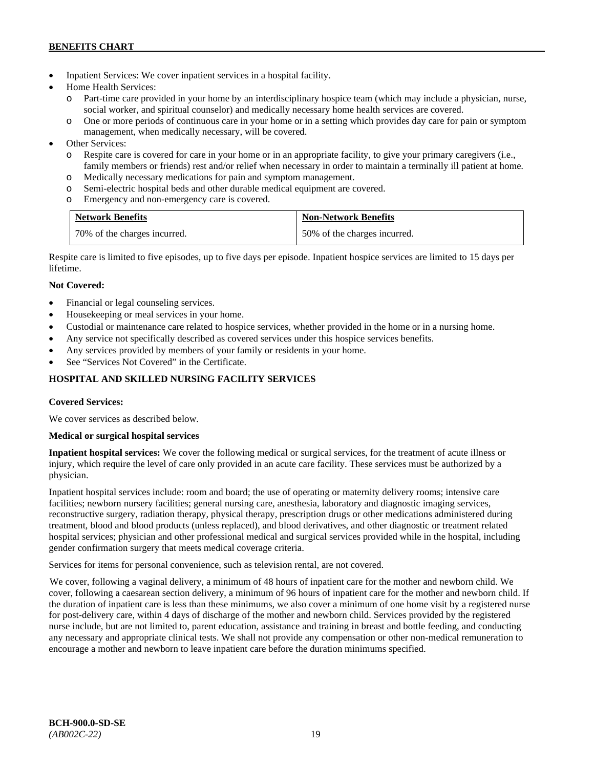- Inpatient Services: We cover inpatient services in a hospital facility.
- Home Health Services:
	- o Part-time care provided in your home by an interdisciplinary hospice team (which may include a physician, nurse, social worker, and spiritual counselor) and medically necessary home health services are covered.
	- o One or more periods of continuous care in your home or in a setting which provides day care for pain or symptom management, when medically necessary, will be covered.
- Other Services:
	- o Respite care is covered for care in your home or in an appropriate facility, to give your primary caregivers (i.e., family members or friends) rest and/or relief when necessary in order to maintain a terminally ill patient at home*.*
	- o Medically necessary medications for pain and symptom management.
	- o Semi-electric hospital beds and other durable medical equipment are covered.
	- o Emergency and non-emergency care is covered.

| <b>Network Benefits</b>      | <b>Non-Network Benefits</b>  |
|------------------------------|------------------------------|
| 70% of the charges incurred. | 50% of the charges incurred. |

Respite care is limited to five episodes, up to five days per episode. Inpatient hospice services are limited to 15 days per lifetime.

# **Not Covered:**

- Financial or legal counseling services.
- Housekeeping or meal services in your home.
- Custodial or maintenance care related to hospice services, whether provided in the home or in a nursing home.
- Any service not specifically described as covered services under this hospice services benefits.
- Any services provided by members of your family or residents in your home.
- See "Services Not Covered" in the Certificate.

# **HOSPITAL AND SKILLED NURSING FACILITY SERVICES**

### **Covered Services:**

We cover services as described below.

### **Medical or surgical hospital services**

**Inpatient hospital services:** We cover the following medical or surgical services, for the treatment of acute illness or injury, which require the level of care only provided in an acute care facility. These services must be authorized by a physician.

Inpatient hospital services include: room and board; the use of operating or maternity delivery rooms; intensive care facilities; newborn nursery facilities; general nursing care, anesthesia, laboratory and diagnostic imaging services, reconstructive surgery, radiation therapy, physical therapy, prescription drugs or other medications administered during treatment, blood and blood products (unless replaced), and blood derivatives, and other diagnostic or treatment related hospital services; physician and other professional medical and surgical services provided while in the hospital, including gender confirmation surgery that meets medical coverage criteria.

Services for items for personal convenience, such as television rental, are not covered.

We cover, following a vaginal delivery, a minimum of 48 hours of inpatient care for the mother and newborn child. We cover, following a caesarean section delivery, a minimum of 96 hours of inpatient care for the mother and newborn child. If the duration of inpatient care is less than these minimums, we also cover a minimum of one home visit by a registered nurse for post-delivery care, within 4 days of discharge of the mother and newborn child. Services provided by the registered nurse include, but are not limited to, parent education, assistance and training in breast and bottle feeding, and conducting any necessary and appropriate clinical tests. We shall not provide any compensation or other non-medical remuneration to encourage a mother and newborn to leave inpatient care before the duration minimums specified.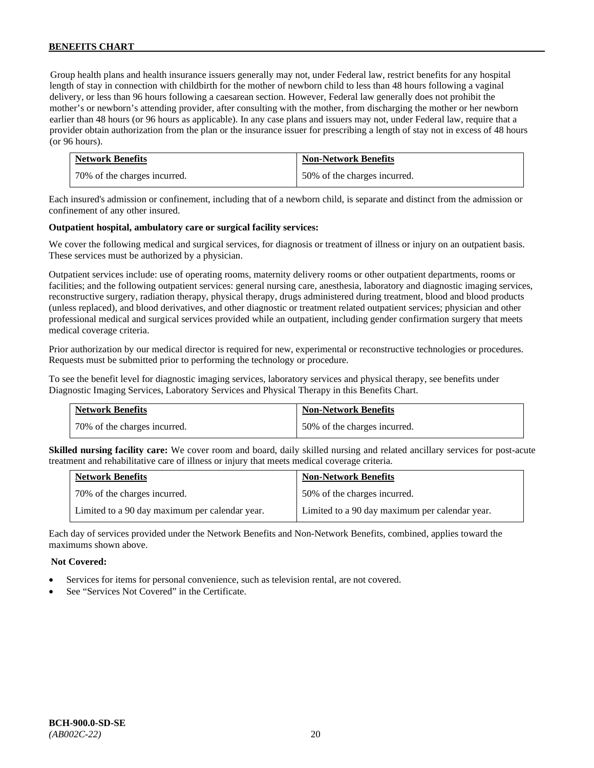Group health plans and health insurance issuers generally may not, under Federal law, restrict benefits for any hospital length of stay in connection with childbirth for the mother of newborn child to less than 48 hours following a vaginal delivery, or less than 96 hours following a caesarean section. However, Federal law generally does not prohibit the mother's or newborn's attending provider, after consulting with the mother, from discharging the mother or her newborn earlier than 48 hours (or 96 hours as applicable). In any case plans and issuers may not, under Federal law, require that a provider obtain authorization from the plan or the insurance issuer for prescribing a length of stay not in excess of 48 hours (or 96 hours).

| <b>Network Benefits</b>      | <b>Non-Network Benefits</b>  |
|------------------------------|------------------------------|
| 70% of the charges incurred. | 50% of the charges incurred. |

Each insured's admission or confinement, including that of a newborn child, is separate and distinct from the admission or confinement of any other insured.

### **Outpatient hospital, ambulatory care or surgical facility services:**

We cover the following medical and surgical services, for diagnosis or treatment of illness or injury on an outpatient basis. These services must be authorized by a physician.

Outpatient services include: use of operating rooms, maternity delivery rooms or other outpatient departments, rooms or facilities; and the following outpatient services: general nursing care, anesthesia, laboratory and diagnostic imaging services, reconstructive surgery, radiation therapy, physical therapy, drugs administered during treatment, blood and blood products (unless replaced), and blood derivatives, and other diagnostic or treatment related outpatient services; physician and other professional medical and surgical services provided while an outpatient, including gender confirmation surgery that meets medical coverage criteria.

Prior authorization by our medical director is required for new, experimental or reconstructive technologies or procedures. Requests must be submitted prior to performing the technology or procedure.

To see the benefit level for diagnostic imaging services, laboratory services and physical therapy, see benefits under Diagnostic Imaging Services, Laboratory Services and Physical Therapy in this Benefits Chart.

| <b>Network Benefits</b>      | <b>Non-Network Benefits</b>  |
|------------------------------|------------------------------|
| 70% of the charges incurred. | 50% of the charges incurred. |

**Skilled nursing facility care:** We cover room and board, daily skilled nursing and related ancillary services for post-acute treatment and rehabilitative care of illness or injury that meets medical coverage criteria.

| <b>Network Benefits</b>                        | <b>Non-Network Benefits</b>                    |
|------------------------------------------------|------------------------------------------------|
| 70% of the charges incurred.                   | 50% of the charges incurred.                   |
| Limited to a 90 day maximum per calendar year. | Limited to a 90 day maximum per calendar year. |

Each day of services provided under the Network Benefits and Non-Network Benefits, combined, applies toward the maximums shown above.

### **Not Covered:**

- Services for items for personal convenience, such as television rental, are not covered.
- See "Services Not Covered" in the Certificate.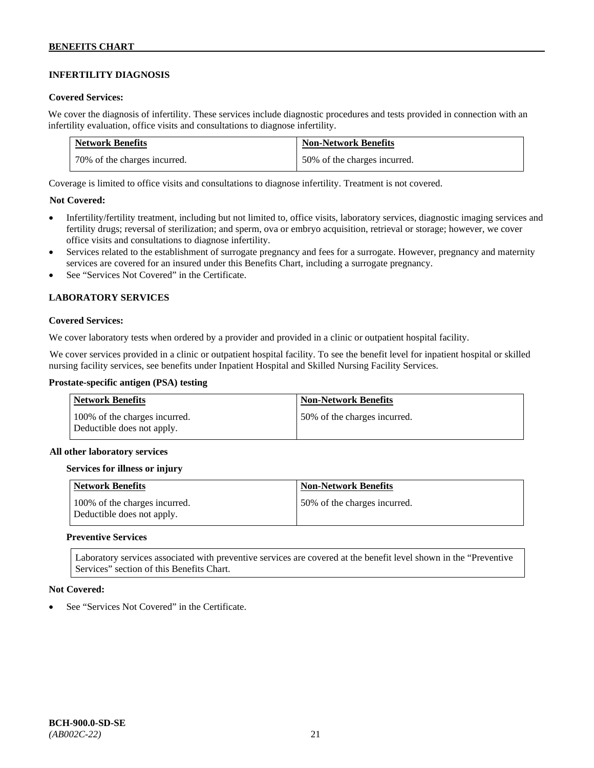# **INFERTILITY DIAGNOSIS**

#### **Covered Services:**

We cover the diagnosis of infertility. These services include diagnostic procedures and tests provided in connection with an infertility evaluation, office visits and consultations to diagnose infertility.

| <b>Network Benefits</b>       | <b>Non-Network Benefits</b>  |
|-------------------------------|------------------------------|
| 170% of the charges incurred. | 50% of the charges incurred. |

Coverage is limited to office visits and consultations to diagnose infertility. Treatment is not covered.

### **Not Covered:**

- Infertility/fertility treatment, including but not limited to, office visits, laboratory services, diagnostic imaging services and fertility drugs; reversal of sterilization; and sperm, ova or embryo acquisition, retrieval or storage; however, we cover office visits and consultations to diagnose infertility.
- Services related to the establishment of surrogate pregnancy and fees for a surrogate. However, pregnancy and maternity services are covered for an insured under this Benefits Chart, including a surrogate pregnancy.
- See "Services Not Covered" in the Certificate.

### **LABORATORY SERVICES**

#### **Covered Services:**

We cover laboratory tests when ordered by a provider and provided in a clinic or outpatient hospital facility.

We cover services provided in a clinic or outpatient hospital facility. To see the benefit level for inpatient hospital or skilled nursing facility services, see benefits under Inpatient Hospital and Skilled Nursing Facility Services.

### **Prostate-specific antigen (PSA) testing**

| Network Benefits                                            | <b>Non-Network Benefits</b>  |
|-------------------------------------------------------------|------------------------------|
| 100% of the charges incurred.<br>Deductible does not apply. | 50% of the charges incurred. |

#### **All other laboratory services**

#### **Services for illness or injury**

| <b>Network Benefits</b>                                     | <b>Non-Network Benefits</b>  |
|-------------------------------------------------------------|------------------------------|
| 100% of the charges incurred.<br>Deductible does not apply. | 50% of the charges incurred. |

#### **Preventive Services**

Laboratory services associated with preventive services are covered at the benefit level shown in the "Preventive Services" section of this Benefits Chart.

### **Not Covered:**

See "Services Not Covered" in the Certificate.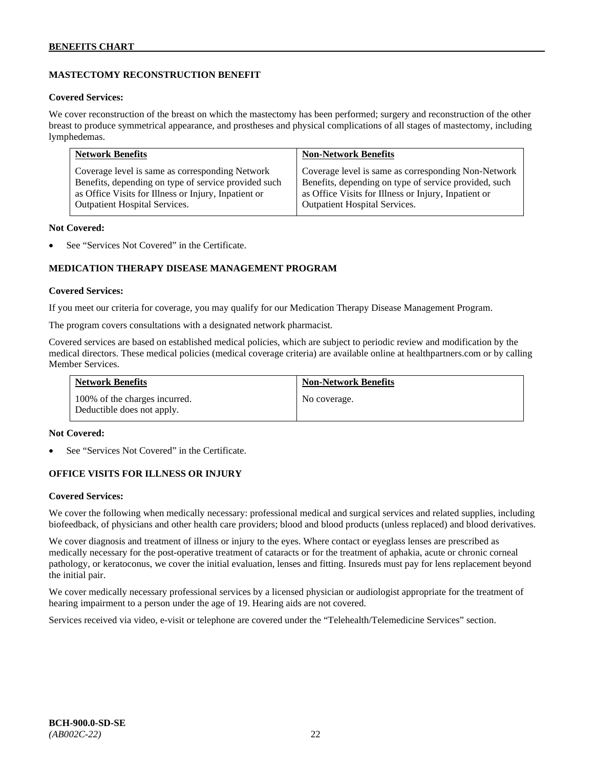# **MASTECTOMY RECONSTRUCTION BENEFIT**

#### **Covered Services:**

We cover reconstruction of the breast on which the mastectomy has been performed; surgery and reconstruction of the other breast to produce symmetrical appearance, and prostheses and physical complications of all stages of mastectomy, including lymphedemas.

| <b>Network Benefits</b>                              | <b>Non-Network Benefits</b>                           |
|------------------------------------------------------|-------------------------------------------------------|
| Coverage level is same as corresponding Network      | Coverage level is same as corresponding Non-Network   |
| Benefits, depending on type of service provided such | Benefits, depending on type of service provided, such |
| as Office Visits for Illness or Injury, Inpatient or | as Office Visits for Illness or Injury, Inpatient or  |
| Outpatient Hospital Services.                        | <b>Outpatient Hospital Services.</b>                  |

#### **Not Covered:**

See "Services Not Covered" in the Certificate.

# **MEDICATION THERAPY DISEASE MANAGEMENT PROGRAM**

#### **Covered Services:**

If you meet our criteria for coverage, you may qualify for our Medication Therapy Disease Management Program.

The program covers consultations with a designated network pharmacist.

Covered services are based on established medical policies, which are subject to periodic review and modification by the medical directors. These medical policies (medical coverage criteria) are available online at [healthpartners.com](http://www.healthpartners.com/) or by calling Member Services.

| <b>Network Benefits</b>                                     | <b>Non-Network Benefits</b> |
|-------------------------------------------------------------|-----------------------------|
| 100% of the charges incurred.<br>Deductible does not apply. | No coverage.                |

#### **Not Covered:**

See "Services Not Covered" in the Certificate.

### **OFFICE VISITS FOR ILLNESS OR INJURY**

#### **Covered Services:**

We cover the following when medically necessary: professional medical and surgical services and related supplies, including biofeedback, of physicians and other health care providers; blood and blood products (unless replaced) and blood derivatives.

We cover diagnosis and treatment of illness or injury to the eyes. Where contact or eyeglass lenses are prescribed as medically necessary for the post-operative treatment of cataracts or for the treatment of aphakia, acute or chronic corneal pathology, or keratoconus, we cover the initial evaluation, lenses and fitting. Insureds must pay for lens replacement beyond the initial pair.

We cover medically necessary professional services by a licensed physician or audiologist appropriate for the treatment of hearing impairment to a person under the age of 19. Hearing aids are not covered.

Services received via video, e-visit or telephone are covered under the "Telehealth/Telemedicine Services" section.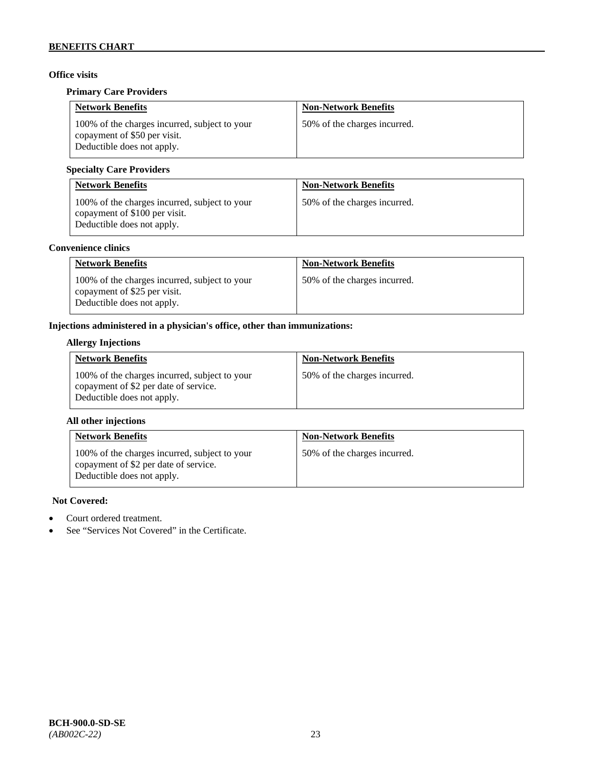# **Office visits**

### **Primary Care Providers**

| <b>Network Benefits</b>                                                                                     | <b>Non-Network Benefits</b>  |
|-------------------------------------------------------------------------------------------------------------|------------------------------|
| 100% of the charges incurred, subject to your<br>copayment of \$50 per visit.<br>Deductible does not apply. | 50% of the charges incurred. |

# **Specialty Care Providers**

| <b>Network Benefits</b>                                                                                      | <b>Non-Network Benefits</b>  |
|--------------------------------------------------------------------------------------------------------------|------------------------------|
| 100% of the charges incurred, subject to your<br>copayment of \$100 per visit.<br>Deductible does not apply. | 50% of the charges incurred. |

# **Convenience clinics**

| <b>Network Benefits</b>                                                                                     | <b>Non-Network Benefits</b>  |
|-------------------------------------------------------------------------------------------------------------|------------------------------|
| 100% of the charges incurred, subject to your<br>copayment of \$25 per visit.<br>Deductible does not apply. | 50% of the charges incurred. |

# **Injections administered in a physician's office, other than immunizations:**

### **Allergy Injections**

| <b>Network Benefits</b>                                                                                              | <b>Non-Network Benefits</b>  |
|----------------------------------------------------------------------------------------------------------------------|------------------------------|
| 100% of the charges incurred, subject to your<br>copayment of \$2 per date of service.<br>Deductible does not apply. | 50% of the charges incurred. |

### **All other injections**

| <b>Network Benefits</b>                                                                                              | <b>Non-Network Benefits</b>  |
|----------------------------------------------------------------------------------------------------------------------|------------------------------|
| 100% of the charges incurred, subject to your<br>copayment of \$2 per date of service.<br>Deductible does not apply. | 50% of the charges incurred. |

# **Not Covered:**

- Court ordered treatment.
- See "Services Not Covered" in the Certificate.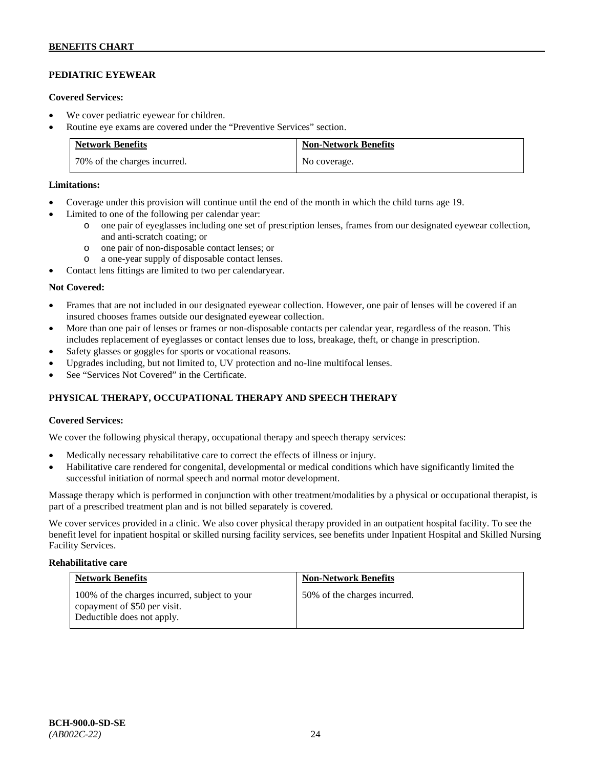# **PEDIATRIC EYEWEAR**

### **Covered Services:**

- We cover pediatric eyewear for children.
- Routine eye exams are covered under the "Preventive Services" section.

| <b>Network Benefits</b>      | <b>Non-Network Benefits</b> |
|------------------------------|-----------------------------|
| 70% of the charges incurred. | No coverage.                |

### **Limitations:**

- Coverage under this provision will continue until the end of the month in which the child turns age 19.
- Limited to one of the following per calendar year:
	- o one pair of eyeglasses including one set of prescription lenses, frames from our designated eyewear collection, and anti-scratch coating; or
	- o one pair of non-disposable contact lenses; or
	- o a one-year supply of disposable contact lenses.
- Contact lens fittings are limited to two per calendaryear.

#### **Not Covered:**

- Frames that are not included in our designated eyewear collection. However, one pair of lenses will be covered if an insured chooses frames outside our designated eyewear collection.
- More than one pair of lenses or frames or non-disposable contacts per calendar year, regardless of the reason. This includes replacement of eyeglasses or contact lenses due to loss, breakage, theft, or change in prescription.
- Safety glasses or goggles for sports or vocational reasons.
- Upgrades including, but not limited to, UV protection and no-line multifocal lenses.
- See "Services Not Covered" in the Certificate.

# **PHYSICAL THERAPY, OCCUPATIONAL THERAPY AND SPEECH THERAPY**

### **Covered Services:**

We cover the following physical therapy, occupational therapy and speech therapy services:

- Medically necessary rehabilitative care to correct the effects of illness or injury.
- Habilitative care rendered for congenital, developmental or medical conditions which have significantly limited the successful initiation of normal speech and normal motor development.

Massage therapy which is performed in conjunction with other treatment/modalities by a physical or occupational therapist, is part of a prescribed treatment plan and is not billed separately is covered.

We cover services provided in a clinic. We also cover physical therapy provided in an outpatient hospital facility. To see the benefit level for inpatient hospital or skilled nursing facility services, see benefits under Inpatient Hospital and Skilled Nursing Facility Services.

#### **Rehabilitative care**

| <b>Network Benefits</b>                                                                                     | <b>Non-Network Benefits</b>  |
|-------------------------------------------------------------------------------------------------------------|------------------------------|
| 100% of the charges incurred, subject to your<br>copayment of \$50 per visit.<br>Deductible does not apply. | 50% of the charges incurred. |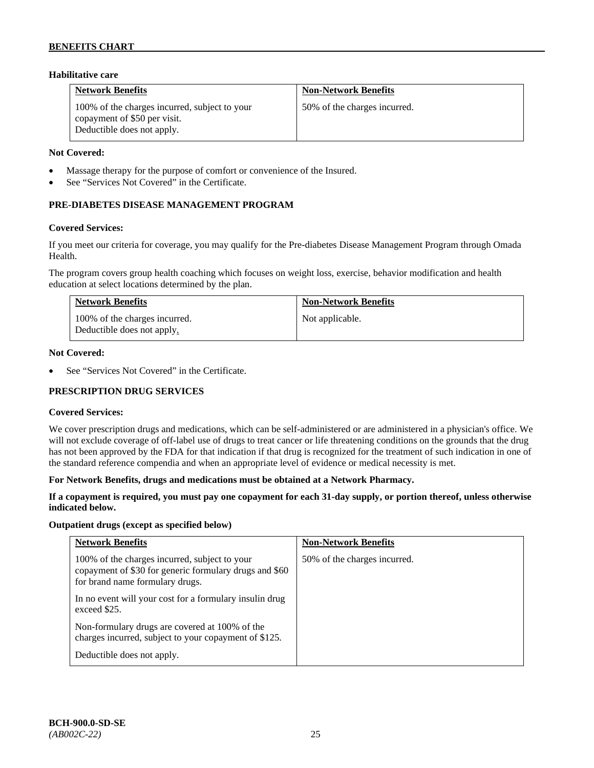### **Habilitative care**

| <b>Network Benefits</b>                                                                                     | <b>Non-Network Benefits</b>  |
|-------------------------------------------------------------------------------------------------------------|------------------------------|
| 100% of the charges incurred, subject to your<br>copayment of \$50 per visit.<br>Deductible does not apply. | 50% of the charges incurred. |

#### **Not Covered:**

- Massage therapy for the purpose of comfort or convenience of the Insured.
- See "Services Not Covered" in the Certificate.

### **PRE-DIABETES DISEASE MANAGEMENT PROGRAM**

#### **Covered Services:**

If you meet our criteria for coverage, you may qualify for the Pre-diabetes Disease Management Program through Omada Health.

The program covers group health coaching which focuses on weight loss, exercise, behavior modification and health education at select locations determined by the plan.

| <b>Network Benefits</b>                                     | <b>Non-Network Benefits</b> |
|-------------------------------------------------------------|-----------------------------|
| 100% of the charges incurred.<br>Deductible does not apply. | Not applicable.             |

#### **Not Covered:**

See "Services Not Covered" in the Certificate.

### **PRESCRIPTION DRUG SERVICES**

#### **Covered Services:**

We cover prescription drugs and medications, which can be self-administered or are administered in a physician's office. We will not exclude coverage of off-label use of drugs to treat cancer or life threatening conditions on the grounds that the drug has not been approved by the FDA for that indication if that drug is recognized for the treatment of such indication in one of the standard reference compendia and when an appropriate level of evidence or medical necessity is met.

#### **For Network Benefits, drugs and medications must be obtained at a Network Pharmacy.**

### **If a copayment is required, you must pay one copayment for each 31-day supply, or portion thereof, unless otherwise indicated below.**

#### **Outpatient drugs (except as specified below)**

| <b>Network Benefits</b>                                                                                                                    | <b>Non-Network Benefits</b>  |
|--------------------------------------------------------------------------------------------------------------------------------------------|------------------------------|
| 100% of the charges incurred, subject to your<br>copayment of \$30 for generic formulary drugs and \$60<br>for brand name formulary drugs. | 50% of the charges incurred. |
| In no event will your cost for a formulary insulin drug<br>exceed \$25.                                                                    |                              |
| Non-formulary drugs are covered at 100% of the<br>charges incurred, subject to your copayment of \$125.                                    |                              |
| Deductible does not apply.                                                                                                                 |                              |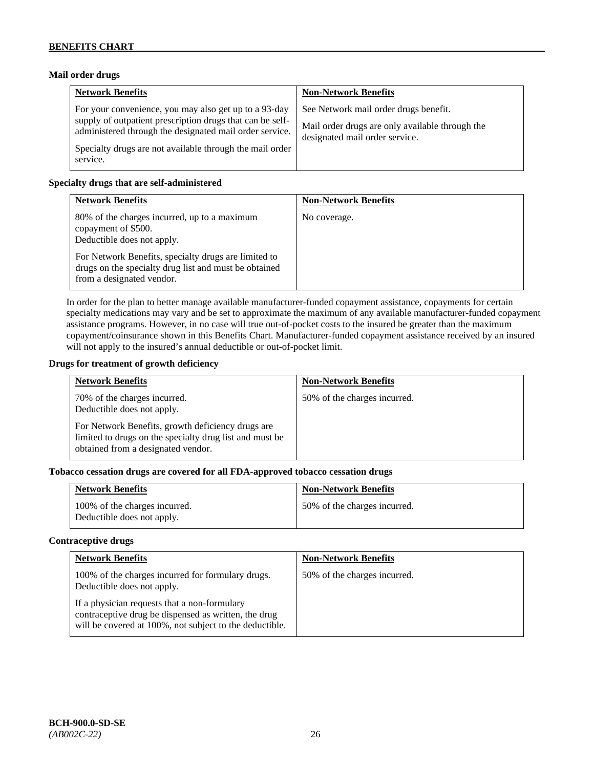### **Mail order drugs**

| <b>Network Benefits</b>                                                                                                                                                                                                                               | <b>Non-Network Benefits</b>                                                                                                |
|-------------------------------------------------------------------------------------------------------------------------------------------------------------------------------------------------------------------------------------------------------|----------------------------------------------------------------------------------------------------------------------------|
| For your convenience, you may also get up to a 93-day<br>supply of outpatient prescription drugs that can be self-<br>administered through the designated mail order service.<br>Specialty drugs are not available through the mail order<br>service. | See Network mail order drugs benefit.<br>Mail order drugs are only available through the<br>designated mail order service. |

### **Specialty drugs that are self-administered**

| <b>Network Benefits</b>                                                                                                                                                                                                                         | <b>Non-Network Benefits</b> |
|-------------------------------------------------------------------------------------------------------------------------------------------------------------------------------------------------------------------------------------------------|-----------------------------|
| 80% of the charges incurred, up to a maximum<br>copayment of \$500.<br>Deductible does not apply.<br>For Network Benefits, specialty drugs are limited to<br>drugs on the specialty drug list and must be obtained<br>from a designated vendor. | No coverage.                |

In order for the plan to better manage available manufacturer-funded copayment assistance, copayments for certain specialty medications may vary and be set to approximate the maximum of any available manufacturer-funded copayment assistance programs. However, in no case will true out-of-pocket costs to the insured be greater than the maximum copayment/coinsurance shown in this Benefits Chart. Manufacturer-funded copayment assistance received by an insured will not apply to the insured's annual deductible or out-of-pocket limit.

#### **Drugs for treatment of growth deficiency**

| <b>Network Benefits</b>                                                                                                                            | <b>Non-Network Benefits</b>  |
|----------------------------------------------------------------------------------------------------------------------------------------------------|------------------------------|
| 70% of the charges incurred.<br>Deductible does not apply.                                                                                         | 50% of the charges incurred. |
| For Network Benefits, growth deficiency drugs are<br>limited to drugs on the specialty drug list and must be<br>obtained from a designated vendor. |                              |

# **Tobacco cessation drugs are covered for all FDA-approved tobacco cessation drugs**

| <b>Network Benefits</b>                                     | <b>Non-Network Benefits</b>  |
|-------------------------------------------------------------|------------------------------|
| 100% of the charges incurred.<br>Deductible does not apply. | 50% of the charges incurred. |

#### **Contraceptive drugs**

| <b>Network Benefits</b>                                                                                                                                         | <b>Non-Network Benefits</b>  |
|-----------------------------------------------------------------------------------------------------------------------------------------------------------------|------------------------------|
| 100% of the charges incurred for formulary drugs.<br>Deductible does not apply.                                                                                 | 50% of the charges incurred. |
| If a physician requests that a non-formulary<br>contraceptive drug be dispensed as written, the drug<br>will be covered at 100%, not subject to the deductible. |                              |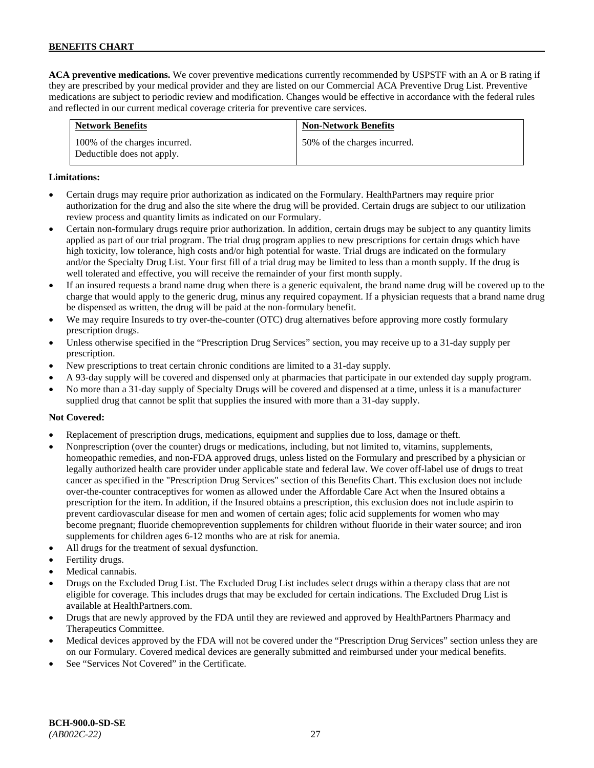**ACA preventive medications.** We cover preventive medications currently recommended by USPSTF with an A or B rating if they are prescribed by your medical provider and they are listed on our Commercial ACA Preventive Drug List. Preventive medications are subject to periodic review and modification. Changes would be effective in accordance with the federal rules and reflected in our current medical coverage criteria for preventive care services.

| <b>Network Benefits</b>                                     | <b>Non-Network Benefits</b>  |
|-------------------------------------------------------------|------------------------------|
| 100% of the charges incurred.<br>Deductible does not apply. | 50% of the charges incurred. |

### **Limitations:**

- Certain drugs may require prior authorization as indicated on the Formulary. HealthPartners may require prior authorization for the drug and also the site where the drug will be provided. Certain drugs are subject to our utilization review process and quantity limits as indicated on our Formulary.
- Certain non-formulary drugs require prior authorization. In addition, certain drugs may be subject to any quantity limits applied as part of our trial program. The trial drug program applies to new prescriptions for certain drugs which have high toxicity, low tolerance, high costs and/or high potential for waste. Trial drugs are indicated on the formulary and/or the Specialty Drug List. Your first fill of a trial drug may be limited to less than a month supply. If the drug is well tolerated and effective, you will receive the remainder of your first month supply.
- If an insured requests a brand name drug when there is a generic equivalent, the brand name drug will be covered up to the charge that would apply to the generic drug, minus any required copayment. If a physician requests that a brand name drug be dispensed as written, the drug will be paid at the non-formulary benefit.
- We may require Insureds to try over-the-counter (OTC) drug alternatives before approving more costly formulary prescription drugs.
- Unless otherwise specified in the "Prescription Drug Services" section, you may receive up to a 31-day supply per prescription.
- New prescriptions to treat certain chronic conditions are limited to a 31-day supply.
- A 93-day supply will be covered and dispensed only at pharmacies that participate in our extended day supply program.
- No more than a 31-day supply of Specialty Drugs will be covered and dispensed at a time, unless it is a manufacturer supplied drug that cannot be split that supplies the insured with more than a 31-day supply.

### **Not Covered:**

- Replacement of prescription drugs, medications, equipment and supplies due to loss, damage or theft.
- Nonprescription (over the counter) drugs or medications, including, but not limited to, vitamins, supplements, homeopathic remedies, and non-FDA approved drugs, unless listed on the Formulary and prescribed by a physician or legally authorized health care provider under applicable state and federal law. We cover off-label use of drugs to treat cancer as specified in the "Prescription Drug Services" section of this Benefits Chart. This exclusion does not include over-the-counter contraceptives for women as allowed under the Affordable Care Act when the Insured obtains a prescription for the item. In addition, if the Insured obtains a prescription, this exclusion does not include aspirin to prevent cardiovascular disease for men and women of certain ages; folic acid supplements for women who may become pregnant; fluoride chemoprevention supplements for children without fluoride in their water source; and iron supplements for children ages 6-12 months who are at risk for anemia.
- All drugs for the treatment of sexual dysfunction.
- Fertility drugs.
- Medical cannabis.
- Drugs on the Excluded Drug List. The Excluded Drug List includes select drugs within a therapy class that are not eligible for coverage. This includes drugs that may be excluded for certain indications. The Excluded Drug List is available a[t HealthPartners.com.](http://www.healthpartners.com/)
- Drugs that are newly approved by the FDA until they are reviewed and approved by HealthPartners Pharmacy and Therapeutics Committee.
- Medical devices approved by the FDA will not be covered under the "Prescription Drug Services" section unless they are on our Formulary. Covered medical devices are generally submitted and reimbursed under your medical benefits.
- See "Services Not Covered" in the Certificate.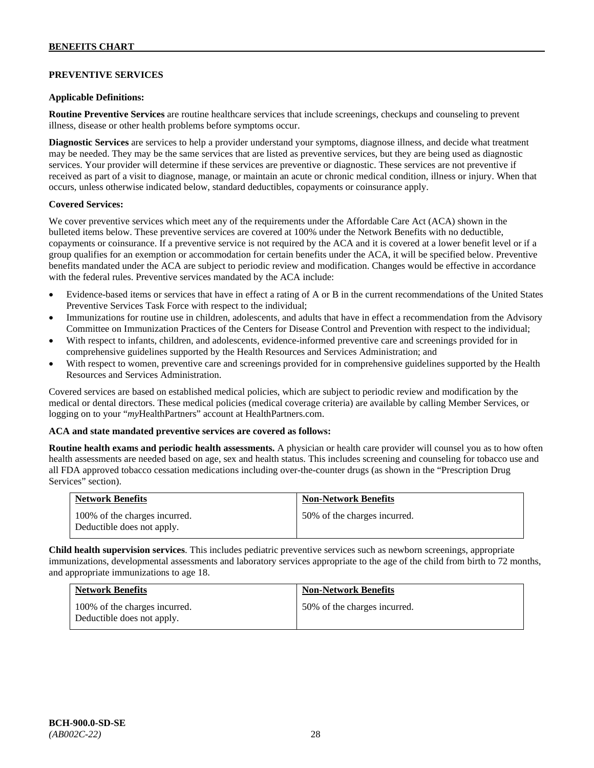### **PREVENTIVE SERVICES**

#### **Applicable Definitions:**

**Routine Preventive Services** are routine healthcare services that include screenings, checkups and counseling to prevent illness, disease or other health problems before symptoms occur.

**Diagnostic Services** are services to help a provider understand your symptoms, diagnose illness, and decide what treatment may be needed. They may be the same services that are listed as preventive services, but they are being used as diagnostic services. Your provider will determine if these services are preventive or diagnostic. These services are not preventive if received as part of a visit to diagnose, manage, or maintain an acute or chronic medical condition, illness or injury. When that occurs, unless otherwise indicated below, standard deductibles, copayments or coinsurance apply.

#### **Covered Services:**

We cover preventive services which meet any of the requirements under the Affordable Care Act (ACA) shown in the bulleted items below. These preventive services are covered at 100% under the Network Benefits with no deductible, copayments or coinsurance. If a preventive service is not required by the ACA and it is covered at a lower benefit level or if a group qualifies for an exemption or accommodation for certain benefits under the ACA, it will be specified below. Preventive benefits mandated under the ACA are subject to periodic review and modification. Changes would be effective in accordance with the federal rules. Preventive services mandated by the ACA include:

- Evidence-based items or services that have in effect a rating of A or B in the current recommendations of the United States Preventive Services Task Force with respect to the individual;
- Immunizations for routine use in children, adolescents, and adults that have in effect a recommendation from the Advisory Committee on Immunization Practices of the Centers for Disease Control and Prevention with respect to the individual;
- With respect to infants, children, and adolescents, evidence-informed preventive care and screenings provided for in comprehensive guidelines supported by the Health Resources and Services Administration; and
- With respect to women, preventive care and screenings provided for in comprehensive guidelines supported by the Health Resources and Services Administration.

Covered services are based on established medical policies, which are subject to periodic review and modification by the medical or dental directors. These medical policies (medical coverage criteria) are available by calling Member Services, or logging on to your "*my*HealthPartners" account at [HealthPartners.com.](http://www.healthpartners.com/)

#### **ACA and state mandated preventive services are covered as follows:**

**Routine health exams and periodic health assessments.** A physician or health care provider will counsel you as to how often health assessments are needed based on age, sex and health status. This includes screening and counseling for tobacco use and all FDA approved tobacco cessation medications including over-the-counter drugs (as shown in the "Prescription Drug Services" section).

| <b>Network Benefits</b>                                     | <b>Non-Network Benefits</b>  |
|-------------------------------------------------------------|------------------------------|
| 100% of the charges incurred.<br>Deductible does not apply. | 50% of the charges incurred. |

**Child health supervision services**. This includes pediatric preventive services such as newborn screenings, appropriate immunizations, developmental assessments and laboratory services appropriate to the age of the child from birth to 72 months, and appropriate immunizations to age 18.

| <b>Network Benefits</b>                                     | <b>Non-Network Benefits</b>  |
|-------------------------------------------------------------|------------------------------|
| 100% of the charges incurred.<br>Deductible does not apply. | 50% of the charges incurred. |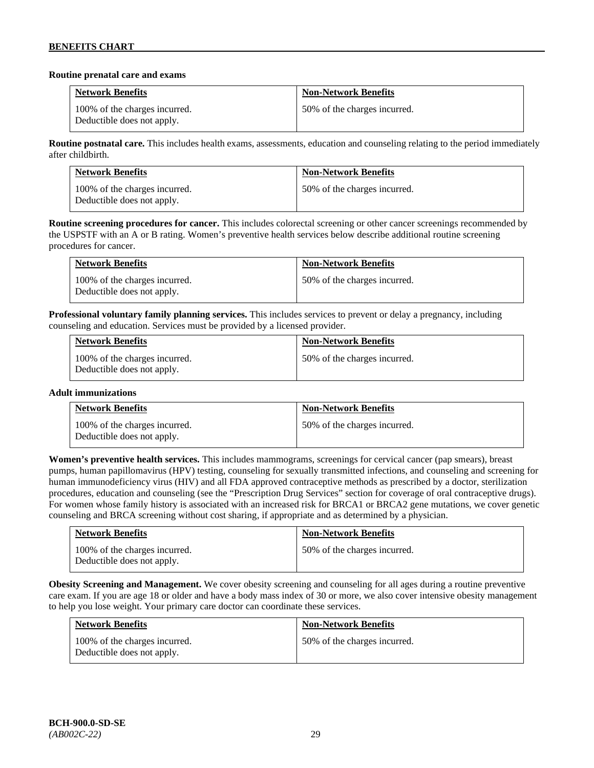### **Routine prenatal care and exams**

| <b>Network Benefits</b>                                     | <b>Non-Network Benefits</b>  |
|-------------------------------------------------------------|------------------------------|
| 100% of the charges incurred.<br>Deductible does not apply. | 50% of the charges incurred. |

**Routine postnatal care.** This includes health exams, assessments, education and counseling relating to the period immediately after childbirth.

| <b>Network Benefits</b>                                     | <b>Non-Network Benefits</b>  |
|-------------------------------------------------------------|------------------------------|
| 100% of the charges incurred.<br>Deductible does not apply. | 50% of the charges incurred. |

**Routine screening procedures for cancer.** This includes colorectal screening or other cancer screenings recommended by the USPSTF with an A or B rating. Women's preventive health services below describe additional routine screening procedures for cancer.

| Network Benefits                                            | <b>Non-Network Benefits</b>  |
|-------------------------------------------------------------|------------------------------|
| 100% of the charges incurred.<br>Deductible does not apply. | 50% of the charges incurred. |

**Professional voluntary family planning services.** This includes services to prevent or delay a pregnancy, including counseling and education. Services must be provided by a licensed provider.

| <b>Network Benefits</b>                                     | <b>Non-Network Benefits</b>  |
|-------------------------------------------------------------|------------------------------|
| 100% of the charges incurred.<br>Deductible does not apply. | 50% of the charges incurred. |

### **Adult immunizations**

| <b>Network Benefits</b>                                     | <b>Non-Network Benefits</b>  |
|-------------------------------------------------------------|------------------------------|
| 100% of the charges incurred.<br>Deductible does not apply. | 50% of the charges incurred. |

**Women's preventive health services.** This includes mammograms, screenings for cervical cancer (pap smears), breast pumps, human papillomavirus (HPV) testing, counseling for sexually transmitted infections, and counseling and screening for human immunodeficiency virus (HIV) and all FDA approved contraceptive methods as prescribed by a doctor, sterilization procedures, education and counseling (see the "Prescription Drug Services" section for coverage of oral contraceptive drugs). For women whose family history is associated with an increased risk for BRCA1 or BRCA2 gene mutations, we cover genetic counseling and BRCA screening without cost sharing, if appropriate and as determined by a physician.

| <b>Network Benefits</b>                                     | <b>Non-Network Benefits</b>  |
|-------------------------------------------------------------|------------------------------|
| 100% of the charges incurred.<br>Deductible does not apply. | 50% of the charges incurred. |

**Obesity Screening and Management.** We cover obesity screening and counseling for all ages during a routine preventive care exam. If you are age 18 or older and have a body mass index of 30 or more, we also cover intensive obesity management to help you lose weight. Your primary care doctor can coordinate these services.

| <b>Network Benefits</b>                                     | <b>Non-Network Benefits</b>  |
|-------------------------------------------------------------|------------------------------|
| 100% of the charges incurred.<br>Deductible does not apply. | 50% of the charges incurred. |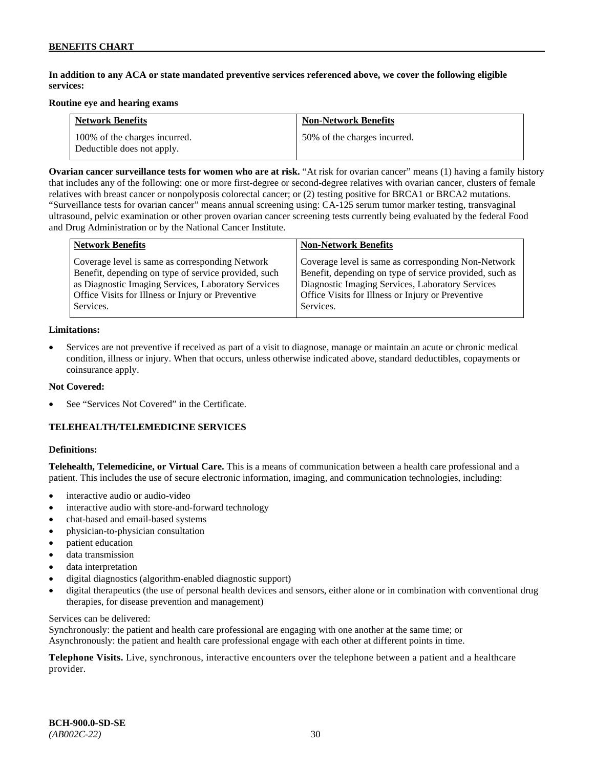### **In addition to any ACA or state mandated preventive services referenced above, we cover the following eligible services:**

#### **Routine eye and hearing exams**

| <b>Network Benefits</b>                                     | <b>Non-Network Benefits</b>  |
|-------------------------------------------------------------|------------------------------|
| 100% of the charges incurred.<br>Deductible does not apply. | 50% of the charges incurred. |

**Ovarian cancer surveillance tests for women who are at risk.** "At risk for ovarian cancer" means (1) having a family history that includes any of the following: one or more first-degree or second-degree relatives with ovarian cancer, clusters of female relatives with breast cancer or nonpolyposis colorectal cancer; or (2) testing positive for BRCA1 or BRCA2 mutations. "Surveillance tests for ovarian cancer" means annual screening using: CA-125 serum tumor marker testing, transvaginal ultrasound, pelvic examination or other proven ovarian cancer screening tests currently being evaluated by the federal Food and Drug Administration or by the National Cancer Institute.

| <b>Network Benefits</b>                              | <b>Non-Network Benefits</b>                             |
|------------------------------------------------------|---------------------------------------------------------|
| Coverage level is same as corresponding Network      | Coverage level is same as corresponding Non-Network     |
| Benefit, depending on type of service provided, such | Benefit, depending on type of service provided, such as |
| as Diagnostic Imaging Services, Laboratory Services  | Diagnostic Imaging Services, Laboratory Services        |
| Office Visits for Illness or Injury or Preventive    | Office Visits for Illness or Injury or Preventive       |
| Services.                                            | Services.                                               |

#### **Limitations:**

• Services are not preventive if received as part of a visit to diagnose, manage or maintain an acute or chronic medical condition, illness or injury. When that occurs, unless otherwise indicated above, standard deductibles, copayments or coinsurance apply.

### **Not Covered:**

See "Services Not Covered" in the Certificate.

### **TELEHEALTH/TELEMEDICINE SERVICES**

#### **Definitions:**

**Telehealth, Telemedicine, or Virtual Care.** This is a means of communication between a health care professional and a patient. This includes the use of secure electronic information, imaging, and communication technologies, including:

- interactive audio or audio-video
- interactive audio with store-and-forward technology
- chat-based and email-based systems
- physician-to-physician consultation
- patient education
- data transmission
- data interpretation
- digital diagnostics (algorithm-enabled diagnostic support)
- digital therapeutics (the use of personal health devices and sensors, either alone or in combination with conventional drug therapies, for disease prevention and management)

Services can be delivered:

Synchronously: the patient and health care professional are engaging with one another at the same time; or Asynchronously: the patient and health care professional engage with each other at different points in time.

**Telephone Visits.** Live, synchronous, interactive encounters over the telephone between a patient and a healthcare provider.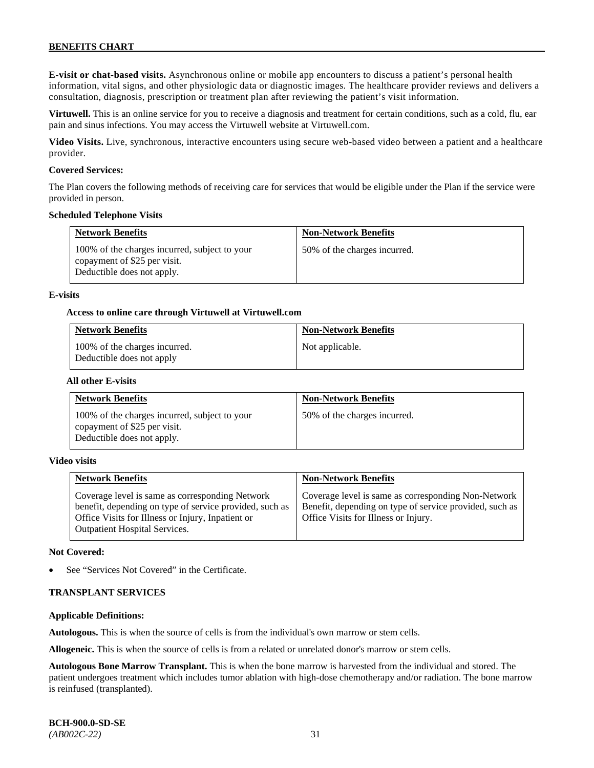**E-visit or chat-based visits.** Asynchronous online or mobile app encounters to discuss a patient's personal health information, vital signs, and other physiologic data or diagnostic images. The healthcare provider reviews and delivers a consultation, diagnosis, prescription or treatment plan after reviewing the patient's visit information.

**Virtuwell.** This is an online service for you to receive a diagnosis and treatment for certain conditions, such as a cold, flu, ear pain and sinus infections. You may access the Virtuwell website at [Virtuwell.com.](https://www.virtuwell.com/)

**Video Visits.** Live, synchronous, interactive encounters using secure web-based video between a patient and a healthcare provider.

#### **Covered Services:**

The Plan covers the following methods of receiving care for services that would be eligible under the Plan if the service were provided in person.

#### **Scheduled Telephone Visits**

| <b>Network Benefits</b>                                                                                     | <b>Non-Network Benefits</b>  |
|-------------------------------------------------------------------------------------------------------------|------------------------------|
| 100% of the charges incurred, subject to your<br>copayment of \$25 per visit.<br>Deductible does not apply. | 50% of the charges incurred. |

#### **E-visits**

#### **Access to online care through Virtuwell at [Virtuwell.com](http://www.virtuwell.com/)**

| <b>Network Benefits</b>                                    | <b>Non-Network Benefits</b> |
|------------------------------------------------------------|-----------------------------|
| 100% of the charges incurred.<br>Deductible does not apply | Not applicable.             |

#### **All other E-visits**

| <b>Network Benefits</b>                                                                                     | <b>Non-Network Benefits</b>  |
|-------------------------------------------------------------------------------------------------------------|------------------------------|
| 100% of the charges incurred, subject to your<br>copayment of \$25 per visit.<br>Deductible does not apply. | 50% of the charges incurred. |

#### **Video visits**

| <b>Network Benefits</b>                                                                                                                                                                          | <b>Non-Network Benefits</b>                                                                                                                            |
|--------------------------------------------------------------------------------------------------------------------------------------------------------------------------------------------------|--------------------------------------------------------------------------------------------------------------------------------------------------------|
| Coverage level is same as corresponding Network<br>benefit, depending on type of service provided, such as<br>Office Visits for Illness or Injury, Inpatient or<br>Outpatient Hospital Services. | Coverage level is same as corresponding Non-Network<br>Benefit, depending on type of service provided, such as<br>Office Visits for Illness or Injury. |

#### **Not Covered:**

See "Services Not Covered" in the Certificate.

### **TRANSPLANT SERVICES**

#### **Applicable Definitions:**

**Autologous.** This is when the source of cells is from the individual's own marrow or stem cells.

**Allogeneic.** This is when the source of cells is from a related or unrelated donor's marrow or stem cells.

**Autologous Bone Marrow Transplant.** This is when the bone marrow is harvested from the individual and stored. The patient undergoes treatment which includes tumor ablation with high-dose chemotherapy and/or radiation. The bone marrow is reinfused (transplanted).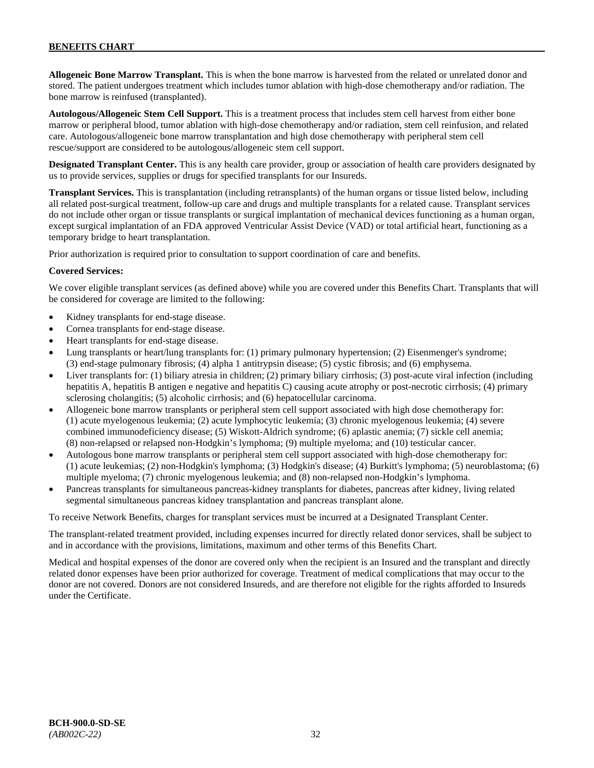**Allogeneic Bone Marrow Transplant.** This is when the bone marrow is harvested from the related or unrelated donor and stored. The patient undergoes treatment which includes tumor ablation with high-dose chemotherapy and/or radiation. The bone marrow is reinfused (transplanted).

**Autologous/Allogeneic Stem Cell Support.** This is a treatment process that includes stem cell harvest from either bone marrow or peripheral blood, tumor ablation with high-dose chemotherapy and/or radiation, stem cell reinfusion, and related care. Autologous/allogeneic bone marrow transplantation and high dose chemotherapy with peripheral stem cell rescue/support are considered to be autologous/allogeneic stem cell support.

**Designated Transplant Center.** This is any health care provider, group or association of health care providers designated by us to provide services, supplies or drugs for specified transplants for our Insureds.

**Transplant Services.** This is transplantation (including retransplants) of the human organs or tissue listed below, including all related post-surgical treatment, follow-up care and drugs and multiple transplants for a related cause. Transplant services do not include other organ or tissue transplants or surgical implantation of mechanical devices functioning as a human organ, except surgical implantation of an FDA approved Ventricular Assist Device (VAD) or total artificial heart, functioning as a temporary bridge to heart transplantation.

Prior authorization is required prior to consultation to support coordination of care and benefits.

#### **Covered Services:**

We cover eligible transplant services (as defined above) while you are covered under this Benefits Chart. Transplants that will be considered for coverage are limited to the following:

- Kidney transplants for end-stage disease.
- Cornea transplants for end-stage disease.
- Heart transplants for end-stage disease.
- Lung transplants or heart/lung transplants for: (1) primary pulmonary hypertension; (2) Eisenmenger's syndrome; (3) end-stage pulmonary fibrosis; (4) alpha 1 antitrypsin disease; (5) cystic fibrosis; and (6) emphysema.
- Liver transplants for: (1) biliary atresia in children; (2) primary biliary cirrhosis; (3) post-acute viral infection (including hepatitis A, hepatitis B antigen e negative and hepatitis C) causing acute atrophy or post-necrotic cirrhosis; (4) primary sclerosing cholangitis; (5) alcoholic cirrhosis; and (6) hepatocellular carcinoma.
- Allogeneic bone marrow transplants or peripheral stem cell support associated with high dose chemotherapy for: (1) acute myelogenous leukemia; (2) acute lymphocytic leukemia; (3) chronic myelogenous leukemia; (4) severe combined immunodeficiency disease; (5) Wiskott-Aldrich syndrome; (6) aplastic anemia; (7) sickle cell anemia; (8) non-relapsed or relapsed non-Hodgkin's lymphoma; (9) multiple myeloma; and (10) testicular cancer.
- Autologous bone marrow transplants or peripheral stem cell support associated with high-dose chemotherapy for: (1) acute leukemias; (2) non-Hodgkin's lymphoma; (3) Hodgkin's disease; (4) Burkitt's lymphoma; (5) neuroblastoma; (6) multiple myeloma; (7) chronic myelogenous leukemia; and (8) non-relapsed non-Hodgkin's lymphoma.
- Pancreas transplants for simultaneous pancreas-kidney transplants for diabetes, pancreas after kidney, living related segmental simultaneous pancreas kidney transplantation and pancreas transplant alone.

To receive Network Benefits, charges for transplant services must be incurred at a Designated Transplant Center.

The transplant-related treatment provided, including expenses incurred for directly related donor services, shall be subject to and in accordance with the provisions, limitations, maximum and other terms of this Benefits Chart.

Medical and hospital expenses of the donor are covered only when the recipient is an Insured and the transplant and directly related donor expenses have been prior authorized for coverage. Treatment of medical complications that may occur to the donor are not covered. Donors are not considered Insureds, and are therefore not eligible for the rights afforded to Insureds under the Certificate.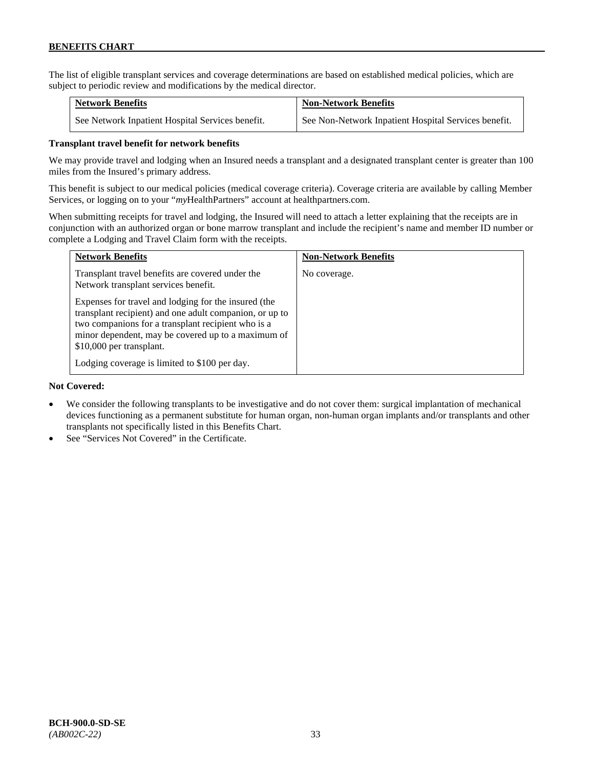The list of eligible transplant services and coverage determinations are based on established medical policies, which are subject to periodic review and modifications by the medical director.

| <b>Network Benefits</b>                          | <b>Non-Network Benefits</b>                          |
|--------------------------------------------------|------------------------------------------------------|
| See Network Inpatient Hospital Services benefit. | See Non-Network Inpatient Hospital Services benefit. |

### **Transplant travel benefit for network benefits**

We may provide travel and lodging when an Insured needs a transplant and a designated transplant center is greater than 100 miles from the Insured's primary address.

This benefit is subject to our medical policies (medical coverage criteria). Coverage criteria are available by calling Member Services, or logging on to your "*my*HealthPartners" account a[t healthpartners.com.](http://www.healthpartners.com/)

When submitting receipts for travel and lodging, the Insured will need to attach a letter explaining that the receipts are in conjunction with an authorized organ or bone marrow transplant and include the recipient's name and member ID number or complete a Lodging and Travel Claim form with the receipts.

| <b>Network Benefits</b>                                                                                                                                                                                                                                 | <b>Non-Network Benefits</b> |
|---------------------------------------------------------------------------------------------------------------------------------------------------------------------------------------------------------------------------------------------------------|-----------------------------|
| Transplant travel benefits are covered under the<br>Network transplant services benefit.                                                                                                                                                                | No coverage.                |
| Expenses for travel and lodging for the insured (the<br>transplant recipient) and one adult companion, or up to<br>two companions for a transplant recipient who is a<br>minor dependent, may be covered up to a maximum of<br>\$10,000 per transplant. |                             |
| Lodging coverage is limited to \$100 per day.                                                                                                                                                                                                           |                             |

### **Not Covered:**

- We consider the following transplants to be investigative and do not cover them: surgical implantation of mechanical devices functioning as a permanent substitute for human organ, non-human organ implants and/or transplants and other transplants not specifically listed in this Benefits Chart.
- See "Services Not Covered" in the Certificate.